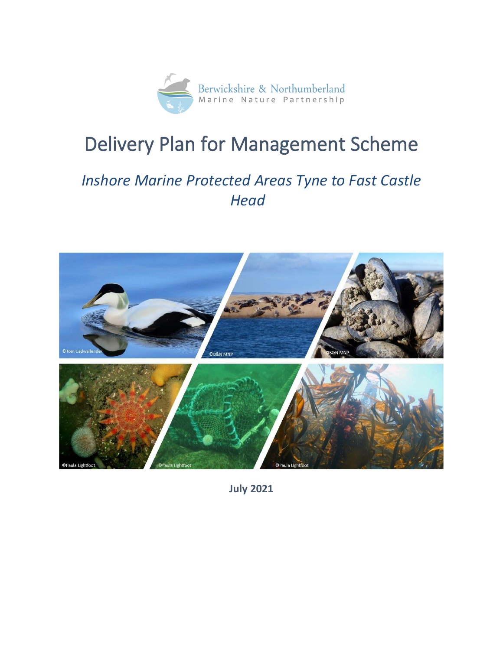

# Delivery Plan for Management Scheme

# *Inshore Marine Protected Areas Tyne to Fast Castle Head*



**July 2021**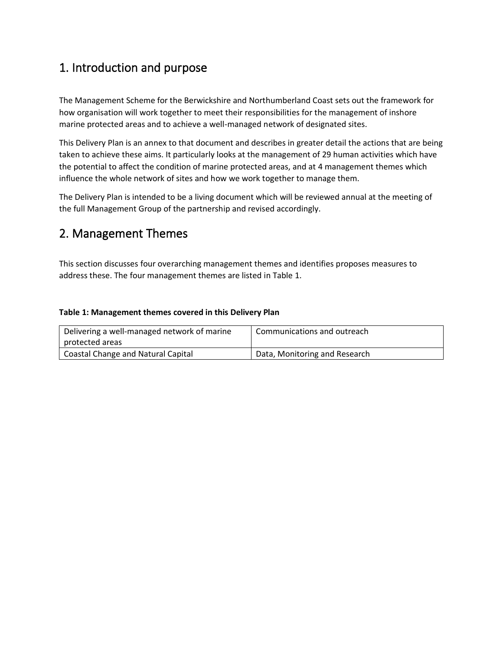# 1. Introduction and purpose

The Management Scheme for the Berwickshire and Northumberland Coast sets out the framework for how organisation will work together to meet their responsibilities for the management of inshore marine protected areas and to achieve a well-managed network of designated sites.

This Delivery Plan is an annex to that document and describes in greater detail the actions that are being taken to achieve these aims. It particularly looks at the management of 29 human activities which have the potential to affect the condition of marine protected areas, and at 4 management themes which influence the whole network of sites and how we work together to manage them.

The Delivery Plan is intended to be a living document which will be reviewed annual at the meeting of the full Management Group of the partnership and revised accordingly.

## 2. Management Themes

This section discusses four overarching management themes and identifies proposes measures to address these. The four management themes are listed in Table 1.

#### **Table 1: Management themes covered in this Delivery Plan**

| Delivering a well-managed network of marine | Communications and outreach   |
|---------------------------------------------|-------------------------------|
| protected areas                             |                               |
| <b>Coastal Change and Natural Capital</b>   | Data, Monitoring and Research |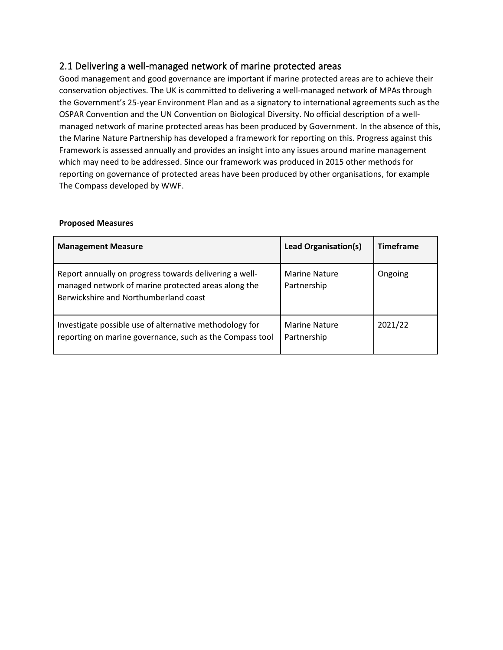### 2.1 Delivering a well-managed network of marine protected areas

Good management and good governance are important if marine protected areas are to achieve their conservation objectives. The UK is committed to delivering a well-managed network of MPAs through the Government's 25-year Environment Plan and as a signatory to international agreements such as the OSPAR Convention and the UN Convention on Biological Diversity. No official description of a wellmanaged network of marine protected areas has been produced by Government. In the absence of this, the Marine Nature Partnership has developed a framework for reporting on this. Progress against this Framework is assessed annually and provides an insight into any issues around marine management which may need to be addressed. Since our framework was produced in 2015 other methods for reporting on governance of protected areas have been produced by other organisations, for example The Compass developed by WWF.

#### **Proposed Measures**

| <b>Management Measure</b>                                                                                                                              | <b>Lead Organisation(s)</b>         | <b>Timeframe</b> |
|--------------------------------------------------------------------------------------------------------------------------------------------------------|-------------------------------------|------------------|
| Report annually on progress towards delivering a well-<br>managed network of marine protected areas along the<br>Berwickshire and Northumberland coast | <b>Marine Nature</b><br>Partnership | Ongoing          |
| Investigate possible use of alternative methodology for<br>reporting on marine governance, such as the Compass tool                                    | <b>Marine Nature</b><br>Partnership | 2021/22          |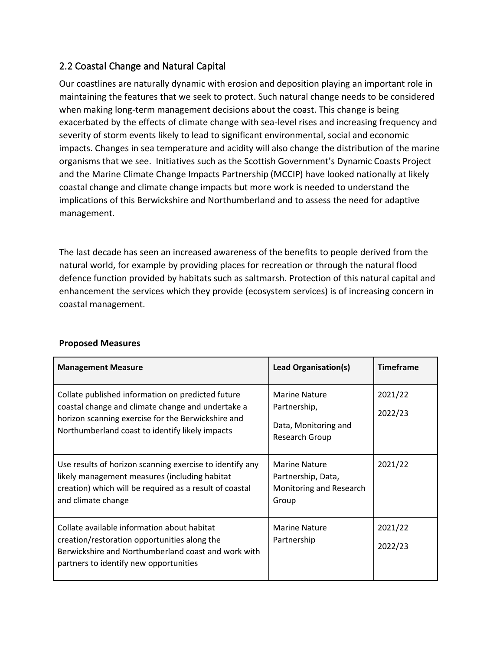### 2.2 Coastal Change and Natural Capital

Our coastlines are naturally dynamic with erosion and deposition playing an important role in maintaining the features that we seek to protect. Such natural change needs to be considered when making long-term management decisions about the coast. This change is being exacerbated by the effects of climate change with sea-level rises and increasing frequency and severity of storm events likely to lead to significant environmental, social and economic impacts. Changes in sea temperature and acidity will also change the distribution of the marine organisms that we see. Initiatives such as the Scottish Government's Dynamic Coasts Project and the Marine Climate Change Impacts Partnership (MCCIP) have looked nationally at likely coastal change and climate change impacts but more work is needed to understand the implications of this Berwickshire and Northumberland and to assess the need for adaptive management.

The last decade has seen an increased awareness of the benefits to people derived from the natural world, for example by providing places for recreation or through the natural flood defence function provided by habitats such as saltmarsh. Protection of this natural capital and enhancement the services which they provide (ecosystem services) is of increasing concern in coastal management.

| <b>Management Measure</b>                                                                                                                                                                                       | Lead Organisation(s)                                                           | <b>Timeframe</b>   |
|-----------------------------------------------------------------------------------------------------------------------------------------------------------------------------------------------------------------|--------------------------------------------------------------------------------|--------------------|
| Collate published information on predicted future<br>coastal change and climate change and undertake a<br>horizon scanning exercise for the Berwickshire and<br>Northumberland coast to identify likely impacts | <b>Marine Nature</b><br>Partnership,<br>Data, Monitoring and<br>Research Group | 2021/22<br>2022/23 |
| Use results of horizon scanning exercise to identify any<br>likely management measures (including habitat<br>creation) which will be required as a result of coastal<br>and climate change                      | <b>Marine Nature</b><br>Partnership, Data,<br>Monitoring and Research<br>Group | 2021/22            |
| Collate available information about habitat<br>creation/restoration opportunities along the<br>Berwickshire and Northumberland coast and work with<br>partners to identify new opportunities                    | <b>Marine Nature</b><br>Partnership                                            | 2021/22<br>2022/23 |

#### **Proposed Measures**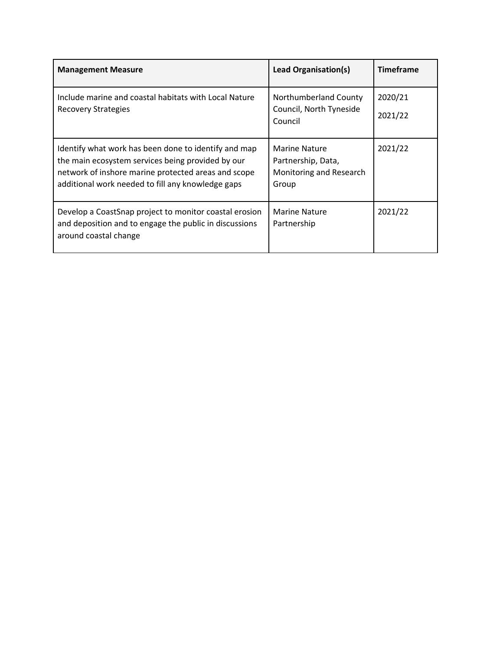| <b>Management Measure</b>                                                                                                                                                                                             | Lead Organisation(s)                                                    | <b>Timeframe</b>   |
|-----------------------------------------------------------------------------------------------------------------------------------------------------------------------------------------------------------------------|-------------------------------------------------------------------------|--------------------|
| Include marine and coastal habitats with Local Nature<br>Recovery Strategies                                                                                                                                          | Northumberland County<br>Council, North Tyneside<br>Council             | 2020/21<br>2021/22 |
| Identify what work has been done to identify and map<br>the main ecosystem services being provided by our<br>network of inshore marine protected areas and scope<br>additional work needed to fill any knowledge gaps | Marine Nature<br>Partnership, Data,<br>Monitoring and Research<br>Group | 2021/22            |
| Develop a CoastSnap project to monitor coastal erosion<br>and deposition and to engage the public in discussions<br>around coastal change                                                                             | Marine Nature<br>Partnership                                            | 2021/22            |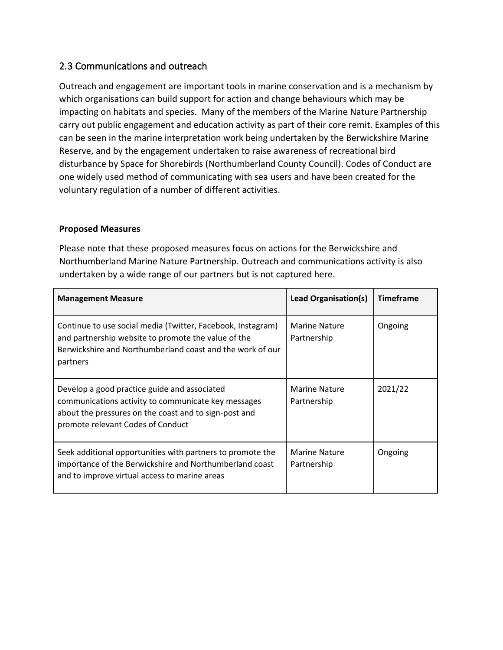### 2.3 Communications and outreach

Outreach and engagement are important tools in marine conservation and is a mechanism by which organisations can build support for action and change behaviours which may be impacting on habitats and species. Many of the members of the Marine Nature Partnership carry out public engagement and education activity as part of their core remit. Examples of this can be seen in the marine interpretation work being undertaken by the Berwickshire Marine Reserve, and by the engagement undertaken to raise awareness of recreational bird disturbance by Space for Shorebirds (Northumberland County Council). Codes of Conduct are one widely used method of communicating with sea users and have been created for the voluntary regulation of a number of different activities.

#### **Proposed Measures**

Please note that these proposed measures focus on actions for the Berwickshire and Northumberland Marine Nature Partnership. Outreach and communications activity is also undertaken by a wide range of our partners but is not captured here.

| <b>Management Measure</b>                                                                                                                                                                         | <b>Lead Organisation(s)</b>         | <b>Timeframe</b> |
|---------------------------------------------------------------------------------------------------------------------------------------------------------------------------------------------------|-------------------------------------|------------------|
| Continue to use social media (Twitter, Facebook, Instagram)<br>and partnership website to promote the value of the<br>Berwickshire and Northumberland coast and the work of our<br>partners       | Marine Nature<br>Partnership        | Ongoing          |
| Develop a good practice guide and associated<br>communications activity to communicate key messages<br>about the pressures on the coast and to sign-post and<br>promote relevant Codes of Conduct | <b>Marine Nature</b><br>Partnership | 2021/22          |
| Seek additional opportunities with partners to promote the<br>importance of the Berwickshire and Northumberland coast<br>and to improve virtual access to marine areas                            | Marine Nature<br>Partnership        | Ongoing          |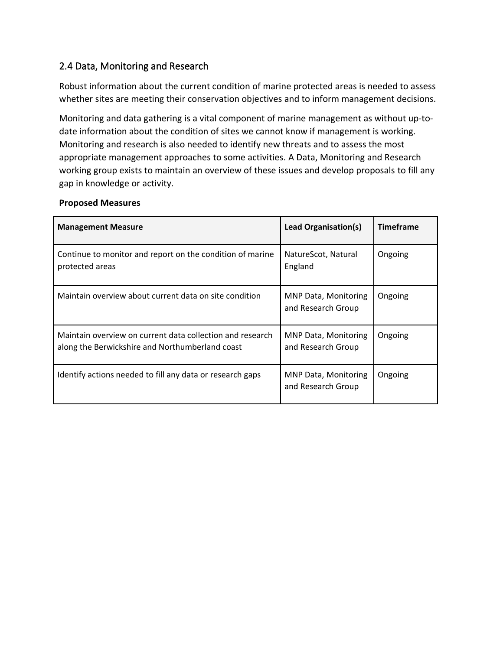### 2.4 Data, Monitoring and Research

Robust information about the current condition of marine protected areas is needed to assess whether sites are meeting their conservation objectives and to inform management decisions.

Monitoring and data gathering is a vital component of marine management as without up-todate information about the condition of sites we cannot know if management is working. Monitoring and research is also needed to identify new threats and to assess the most appropriate management approaches to some activities. A Data, Monitoring and Research working group exists to maintain an overview of these issues and develop proposals to fill any gap in knowledge or activity.

| <b>Management Measure</b>                                                                                    | <b>Lead Organisation(s)</b>                       | <b>Timeframe</b> |
|--------------------------------------------------------------------------------------------------------------|---------------------------------------------------|------------------|
| Continue to monitor and report on the condition of marine<br>protected areas                                 | NatureScot, Natural<br>England                    | Ongoing          |
| Maintain overview about current data on site condition                                                       | <b>MNP Data, Monitoring</b><br>and Research Group | Ongoing          |
| Maintain overview on current data collection and research<br>along the Berwickshire and Northumberland coast | MNP Data, Monitoring<br>and Research Group        | Ongoing          |
| Identify actions needed to fill any data or research gaps                                                    | <b>MNP Data, Monitoring</b><br>and Research Group | Ongoing          |

#### **Proposed Measures**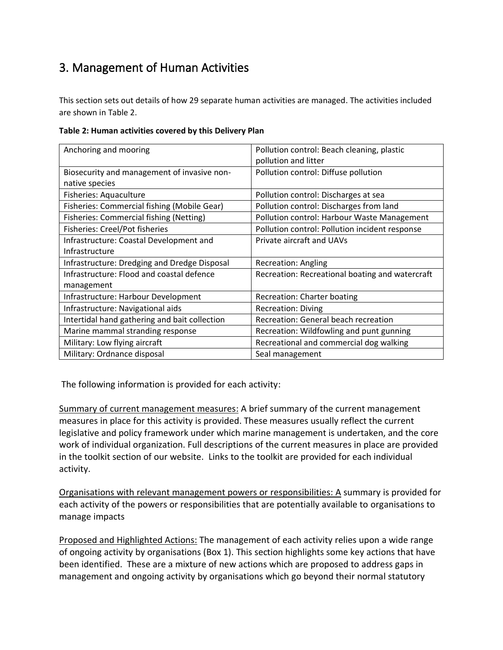# 3. Management of Human Activities

This section sets out details of how 29 separate human activities are managed. The activities included are shown in Table 2.

|  | Table 2: Human activities covered by this Delivery Plan |  |  |
|--|---------------------------------------------------------|--|--|
|  |                                                         |  |  |

| Anchoring and mooring                         | Pollution control: Beach cleaning, plastic      |
|-----------------------------------------------|-------------------------------------------------|
|                                               | pollution and litter                            |
| Biosecurity and management of invasive non-   | Pollution control: Diffuse pollution            |
| native species                                |                                                 |
| Fisheries: Aquaculture                        | Pollution control: Discharges at sea            |
| Fisheries: Commercial fishing (Mobile Gear)   | Pollution control: Discharges from land         |
| Fisheries: Commercial fishing (Netting)       | Pollution control: Harbour Waste Management     |
| <b>Fisheries: Creel/Pot fisheries</b>         | Pollution control: Pollution incident response  |
| Infrastructure: Coastal Development and       | Private aircraft and UAVs                       |
| Infrastructure                                |                                                 |
| Infrastructure: Dredging and Dredge Disposal  | Recreation: Angling                             |
| Infrastructure: Flood and coastal defence     | Recreation: Recreational boating and watercraft |
| management                                    |                                                 |
| Infrastructure: Harbour Development           | <b>Recreation: Charter boating</b>              |
| Infrastructure: Navigational aids             | <b>Recreation: Diving</b>                       |
| Intertidal hand gathering and bait collection | Recreation: General beach recreation            |
| Marine mammal stranding response              | Recreation: Wildfowling and punt gunning        |
| Military: Low flying aircraft                 | Recreational and commercial dog walking         |
| Military: Ordnance disposal                   | Seal management                                 |

The following information is provided for each activity:

Summary of current management measures: A brief summary of the current management measures in place for this activity is provided. These measures usually reflect the current legislative and policy framework under which marine management is undertaken, and the core work of individual organization. Full descriptions of the current measures in place are provided in the toolkit section of our website. Links to the toolkit are provided for each individual activity.

Organisations with relevant management powers or responsibilities: A summary is provided for each activity of the powers or responsibilities that are potentially available to organisations to manage impacts

Proposed and Highlighted Actions: The management of each activity relies upon a wide range of ongoing activity by organisations (Box 1). This section highlights some key actions that have been identified. These are a mixture of new actions which are proposed to address gaps in management and ongoing activity by organisations which go beyond their normal statutory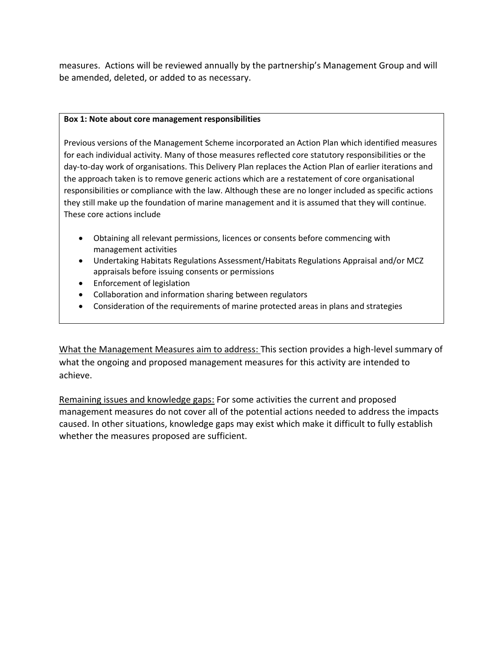measures. Actions will be reviewed annually by the partnership's Management Group and will be amended, deleted, or added to as necessary.

#### **Box 1: Note about core management responsibilities**

Previous versions of the Management Scheme incorporated an Action Plan which identified measures for each individual activity. Many of those measures reflected core statutory responsibilities or the day-to-day work of organisations. This Delivery Plan replaces the Action Plan of earlier iterations and the approach taken is to remove generic actions which are a restatement of core organisational responsibilities or compliance with the law. Although these are no longer included as specific actions they still make up the foundation of marine management and it is assumed that they will continue. These core actions include

- Obtaining all relevant permissions, licences or consents before commencing with management activities
- Undertaking Habitats Regulations Assessment/Habitats Regulations Appraisal and/or MCZ appraisals before issuing consents or permissions
- Enforcement of legislation
- Collaboration and information sharing between regulators
- Consideration of the requirements of marine protected areas in plans and strategies

What the Management Measures aim to address: This section provides a high-level summary of what the ongoing and proposed management measures for this activity are intended to achieve.

Remaining issues and knowledge gaps: For some activities the current and proposed management measures do not cover all of the potential actions needed to address the impacts caused. In other situations, knowledge gaps may exist which make it difficult to fully establish whether the measures proposed are sufficient.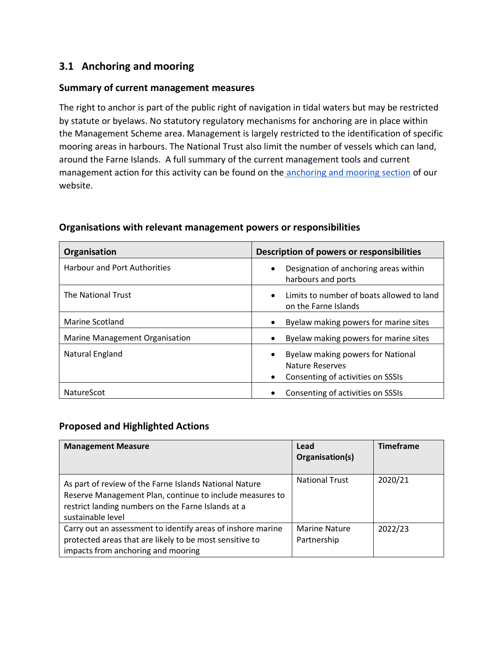### **3.1 Anchoring and mooring**

### **Summary of current management measures**

The right to anchor is part of the public right of navigation in tidal waters but may be restricted by statute or byelaws. No statutory regulatory mechanisms for anchoring are in place within the Management Scheme area. Management is largely restricted to the identification of specific mooring areas in harbours. The National Trust also limit the number of vessels which can land, around the Farne Islands. A full summary of the current management tools and current management action for this activity can be found on the [anchoring and mooring section](http://www.xbordercurrents.co.uk/mpa-toolkit/mpas-in-our-area/anchoring/) of our website.

| Organisation                        | Description of powers or responsibilities                                                                           |
|-------------------------------------|---------------------------------------------------------------------------------------------------------------------|
| <b>Harbour and Port Authorities</b> | Designation of anchoring areas within<br>$\bullet$<br>harbours and ports                                            |
| The National Trust                  | Limits to number of boats allowed to land<br>$\bullet$<br>on the Farne Islands                                      |
| Marine Scotland                     | Byelaw making powers for marine sites<br>$\bullet$                                                                  |
| Marine Management Organisation      | Byelaw making powers for marine sites                                                                               |
| Natural England                     | Byelaw making powers for National<br>$\bullet$<br>Nature Reserves<br>Consenting of activities on SSSIs<br>$\bullet$ |
| <b>NatureScot</b>                   | Consenting of activities on SSSIs                                                                                   |

#### **Organisations with relevant management powers or responsibilities**

#### **Proposed and Highlighted Actions**

| <b>Management Measure</b>                                                                                                                                                                     | Lead<br>Organisation(s)             | <b>Timeframe</b> |
|-----------------------------------------------------------------------------------------------------------------------------------------------------------------------------------------------|-------------------------------------|------------------|
| As part of review of the Farne Islands National Nature<br>Reserve Management Plan, continue to include measures to<br>restrict landing numbers on the Farne Islands at a<br>sustainable level | <b>National Trust</b>               | 2020/21          |
| Carry out an assessment to identify areas of inshore marine<br>protected areas that are likely to be most sensitive to<br>impacts from anchoring and mooring                                  | <b>Marine Nature</b><br>Partnership | 2022/23          |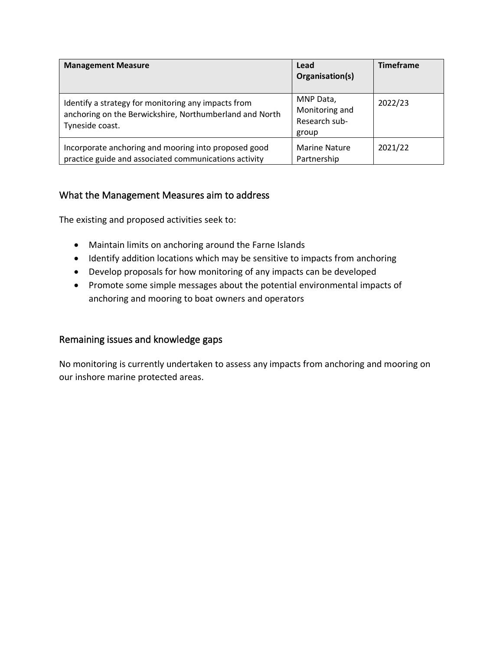| <b>Management Measure</b>                                                                                                         | Lead<br>Organisation(s)                               | <b>Timeframe</b> |
|-----------------------------------------------------------------------------------------------------------------------------------|-------------------------------------------------------|------------------|
| Identify a strategy for monitoring any impacts from<br>anchoring on the Berwickshire, Northumberland and North<br>Tyneside coast. | MNP Data,<br>Monitoring and<br>Research sub-<br>group | 2022/23          |
| Incorporate anchoring and mooring into proposed good<br>practice guide and associated communications activity                     | <b>Marine Nature</b><br>Partnership                   | 2021/22          |

### What the Management Measures aim to address

The existing and proposed activities seek to:

- Maintain limits on anchoring around the Farne Islands
- Identify addition locations which may be sensitive to impacts from anchoring
- Develop proposals for how monitoring of any impacts can be developed
- Promote some simple messages about the potential environmental impacts of anchoring and mooring to boat owners and operators

### Remaining issues and knowledge gaps

No monitoring is currently undertaken to assess any impacts from anchoring and mooring on our inshore marine protected areas.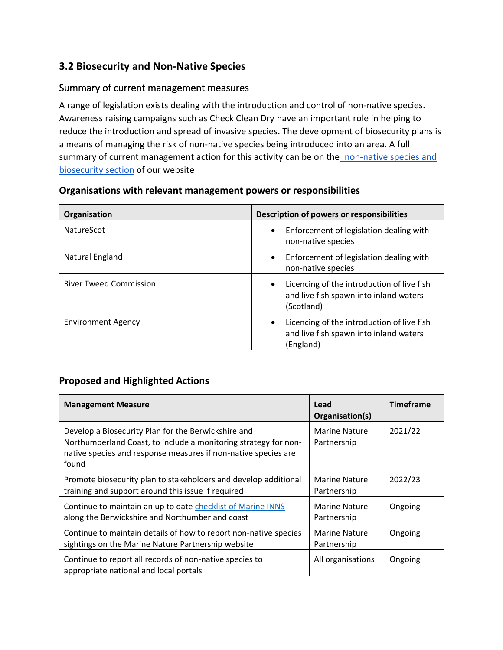### **3.2 Biosecurity and Non-Native Species**

### Summary of current management measures

A range of legislation exists dealing with the introduction and control of non-native species. Awareness raising campaigns such as Check Clean Dry have an important role in helping to reduce the introduction and spread of invasive species. The development of biosecurity plans is a means of managing the risk of non-native species being introduced into an area. A full summary of current management action for this activity can be on the non-native species and [biosecurity section](https://www.xbordercurrents.co.uk/mpa-toolkit/mpas-in-our-area/non-native-species-and-biosecurity/) of our website

| Organisation                  | <b>Description of powers or responsibilities</b>                                                                |
|-------------------------------|-----------------------------------------------------------------------------------------------------------------|
| NatureScot                    | Enforcement of legislation dealing with<br>$\bullet$<br>non-native species                                      |
| Natural England               | Enforcement of legislation dealing with<br>$\bullet$<br>non-native species                                      |
| <b>River Tweed Commission</b> | Licencing of the introduction of live fish<br>$\bullet$<br>and live fish spawn into inland waters<br>(Scotland) |
| <b>Environment Agency</b>     | Licencing of the introduction of live fish<br>$\bullet$<br>and live fish spawn into inland waters<br>(England)  |

### **Organisations with relevant management powers or responsibilities**

### **Proposed and Highlighted Actions**

| <b>Management Measure</b>                                                                                                                                                                         | Lead<br>Organisation(s)             | <b>Timeframe</b> |
|---------------------------------------------------------------------------------------------------------------------------------------------------------------------------------------------------|-------------------------------------|------------------|
| Develop a Biosecurity Plan for the Berwickshire and<br>Northumberland Coast, to include a monitoring strategy for non-<br>native species and response measures if non-native species are<br>found | <b>Marine Nature</b><br>Partnership | 2021/22          |
| Promote biosecurity plan to stakeholders and develop additional<br>training and support around this issue if required                                                                             | <b>Marine Nature</b><br>Partnership | 2022/23          |
| Continue to maintain an up to date checklist of Marine INNS<br>along the Berwickshire and Northumberland coast                                                                                    | <b>Marine Nature</b><br>Partnership | Ongoing          |
| Continue to maintain details of how to report non-native species<br>sightings on the Marine Nature Partnership website                                                                            | <b>Marine Nature</b><br>Partnership | Ongoing          |
| Continue to report all records of non-native species to<br>appropriate national and local portals                                                                                                 | All organisations                   | Ongoing          |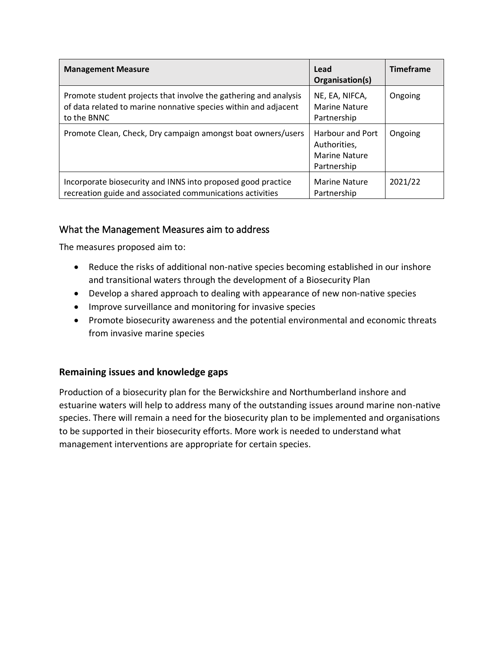| <b>Management Measure</b>                                                                                                                          | Lead<br>Organisation(s)                                                        | <b>Timeframe</b> |
|----------------------------------------------------------------------------------------------------------------------------------------------------|--------------------------------------------------------------------------------|------------------|
| Promote student projects that involve the gathering and analysis<br>of data related to marine nonnative species within and adjacent<br>to the BNNC | NE, EA, NIFCA,<br>Marine Nature<br>Partnership                                 | Ongoing          |
| Promote Clean, Check, Dry campaign amongst boat owners/users                                                                                       | <b>Harbour and Port</b><br>Authorities,<br><b>Marine Nature</b><br>Partnership | Ongoing          |
| Incorporate biosecurity and INNS into proposed good practice<br>recreation guide and associated communications activities                          | <b>Marine Nature</b><br>Partnership                                            | 2021/22          |

### What the Management Measures aim to address

The measures proposed aim to:

- Reduce the risks of additional non-native species becoming established in our inshore and transitional waters through the development of a Biosecurity Plan
- Develop a shared approach to dealing with appearance of new non-native species
- Improve surveillance and monitoring for invasive species
- Promote biosecurity awareness and the potential environmental and economic threats from invasive marine species

### **Remaining issues and knowledge gaps**

Production of a biosecurity plan for the Berwickshire and Northumberland inshore and estuarine waters will help to address many of the outstanding issues around marine non-native species. There will remain a need for the biosecurity plan to be implemented and organisations to be supported in their biosecurity efforts. More work is needed to understand what management interventions are appropriate for certain species.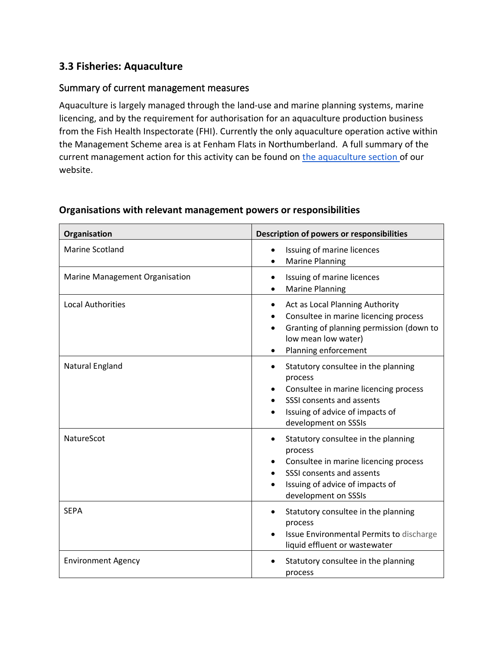### **3.3 Fisheries: Aquaculture**

### Summary of current management measures

Aquaculture is largely managed through the land-use and marine planning systems, marine licencing, and by the requirement for authorisation for an aquaculture production business from the Fish Health Inspectorate (FHI). Currently the only aquaculture operation active within the Management Scheme area is at Fenham Flats in Northumberland. A full summary of the current management action for this activity can be found on [the aquaculture section o](http://www.xbordercurrents.co.uk/mpa-toolkit/mpas-in-our-area/aquaculture/)f our website.

| Organisation                   | Description of powers or responsibilities                                                                                                                                       |
|--------------------------------|---------------------------------------------------------------------------------------------------------------------------------------------------------------------------------|
| <b>Marine Scotland</b>         | Issuing of marine licences<br><b>Marine Planning</b>                                                                                                                            |
| Marine Management Organisation | Issuing of marine licences<br><b>Marine Planning</b>                                                                                                                            |
| <b>Local Authorities</b>       | Act as Local Planning Authority<br>Consultee in marine licencing process<br>Granting of planning permission (down to<br>low mean low water)<br>Planning enforcement             |
| Natural England                | Statutory consultee in the planning<br>process<br>Consultee in marine licencing process<br>SSSI consents and assents<br>Issuing of advice of impacts of<br>development on SSSIs |
| NatureScot                     | Statutory consultee in the planning<br>process<br>Consultee in marine licencing process<br>SSSI consents and assents<br>Issuing of advice of impacts of<br>development on SSSIs |
| <b>SEPA</b>                    | Statutory consultee in the planning<br>process<br>Issue Environmental Permits to discharge<br>liquid effluent or wastewater                                                     |
| <b>Environment Agency</b>      | Statutory consultee in the planning<br>process                                                                                                                                  |

### **Organisations with relevant management powers or responsibilities**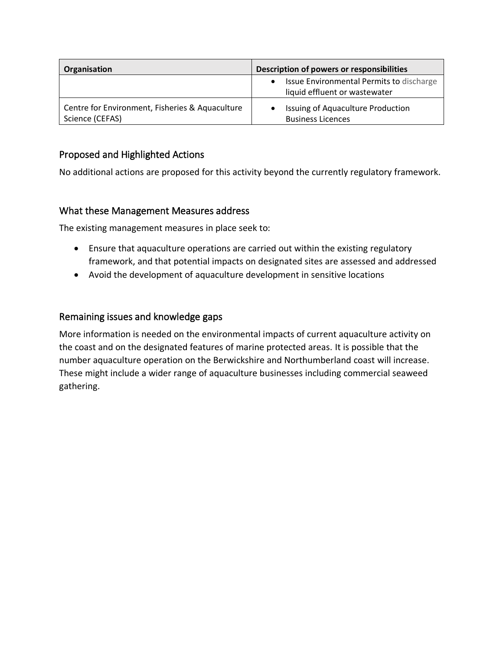| Organisation                                                       | Description of powers or responsibilities                                              |  |  |
|--------------------------------------------------------------------|----------------------------------------------------------------------------------------|--|--|
|                                                                    | Issue Environmental Permits to discharge<br>$\bullet$<br>liquid effluent or wastewater |  |  |
| Centre for Environment, Fisheries & Aquaculture<br>Science (CEFAS) | Issuing of Aquaculture Production<br><b>Business Licences</b>                          |  |  |

### Proposed and Highlighted Actions

No additional actions are proposed for this activity beyond the currently regulatory framework.

### What these Management Measures address

The existing management measures in place seek to:

- Ensure that aquaculture operations are carried out within the existing regulatory framework, and that potential impacts on designated sites are assessed and addressed
- Avoid the development of aquaculture development in sensitive locations

### Remaining issues and knowledge gaps

More information is needed on the environmental impacts of current aquaculture activity on the coast and on the designated features of marine protected areas. It is possible that the number aquaculture operation on the Berwickshire and Northumberland coast will increase. These might include a wider range of aquaculture businesses including commercial seaweed gathering.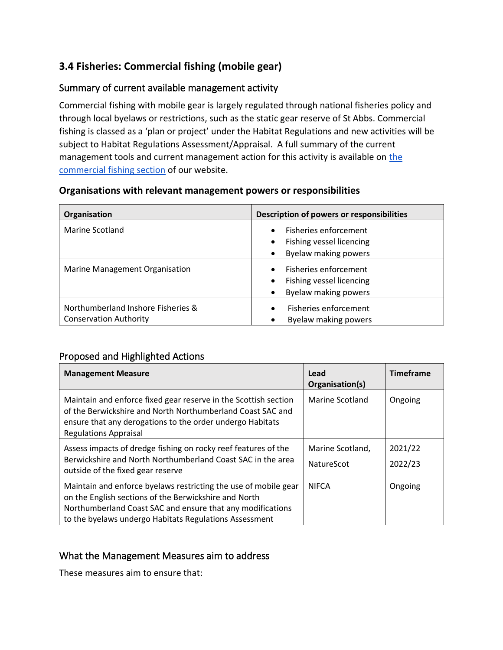### **3.4 Fisheries: Commercial fishing (mobile gear)**

### Summary of current available management activity

Commercial fishing with mobile gear is largely regulated through national fisheries policy and through local byelaws or restrictions, such as the static gear reserve of St Abbs. Commercial fishing is classed as a 'plan or project' under the Habitat Regulations and new activities will be subject to Habitat Regulations Assessment/Appraisal. A full summary of the current management tools and current management action for this activity is available on [the](http://www.xbordercurrents.co.uk/mpa-toolkit/mpas-in-our-area/commercial-fishing-mobile-gear/)  [commercial fishing section](http://www.xbordercurrents.co.uk/mpa-toolkit/mpas-in-our-area/commercial-fishing-mobile-gear/) of our website.

| Organisation                                                        | Description of powers or responsibilities                                                           |
|---------------------------------------------------------------------|-----------------------------------------------------------------------------------------------------|
| Marine Scotland                                                     | Fisheries enforcement<br>$\bullet$<br>Fishing vessel licencing<br>$\bullet$<br>Byelaw making powers |
| Marine Management Organisation                                      | Fisheries enforcement<br>$\bullet$<br>Fishing vessel licencing<br>$\bullet$<br>Byelaw making powers |
| Northumberland Inshore Fisheries &<br><b>Conservation Authority</b> | Fisheries enforcement<br>$\bullet$<br>Byelaw making powers                                          |

#### **Organisations with relevant management powers or responsibilities**

### Proposed and Highlighted Actions

| <b>Management Measure</b>                                                                                                                                                                                                                        | Lead<br>Organisation(s)               | <b>Timeframe</b>   |
|--------------------------------------------------------------------------------------------------------------------------------------------------------------------------------------------------------------------------------------------------|---------------------------------------|--------------------|
| Maintain and enforce fixed gear reserve in the Scottish section<br>of the Berwickshire and North Northumberland Coast SAC and<br>ensure that any derogations to the order undergo Habitats<br><b>Regulations Appraisal</b>                       | Marine Scotland                       | Ongoing            |
| Assess impacts of dredge fishing on rocky reef features of the<br>Berwickshire and North Northumberland Coast SAC in the area<br>outside of the fixed gear reserve                                                                               | Marine Scotland,<br><b>NatureScot</b> | 2021/22<br>2022/23 |
| Maintain and enforce byelaws restricting the use of mobile gear<br>on the English sections of the Berwickshire and North<br>Northumberland Coast SAC and ensure that any modifications<br>to the byelaws undergo Habitats Regulations Assessment | <b>NIFCA</b>                          | Ongoing            |

### What the Management Measures aim to address

These measures aim to ensure that: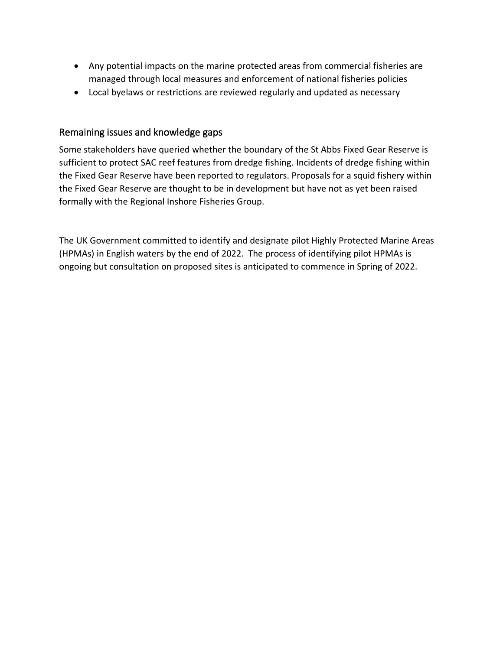- Any potential impacts on the marine protected areas from commercial fisheries are managed through local measures and enforcement of national fisheries policies
- Local byelaws or restrictions are reviewed regularly and updated as necessary

### Remaining issues and knowledge gaps

Some stakeholders have queried whether the boundary of the St Abbs Fixed Gear Reserve is sufficient to protect SAC reef features from dredge fishing. Incidents of dredge fishing within the Fixed Gear Reserve have been reported to regulators. Proposals for a squid fishery within the Fixed Gear Reserve are thought to be in development but have not as yet been raised formally with the Regional Inshore Fisheries Group.

The UK Government committed to identify and designate pilot Highly Protected Marine Areas (HPMAs) in English waters by the end of 2022. The process of identifying pilot HPMAs is ongoing but consultation on proposed sites is anticipated to commence in Spring of 2022.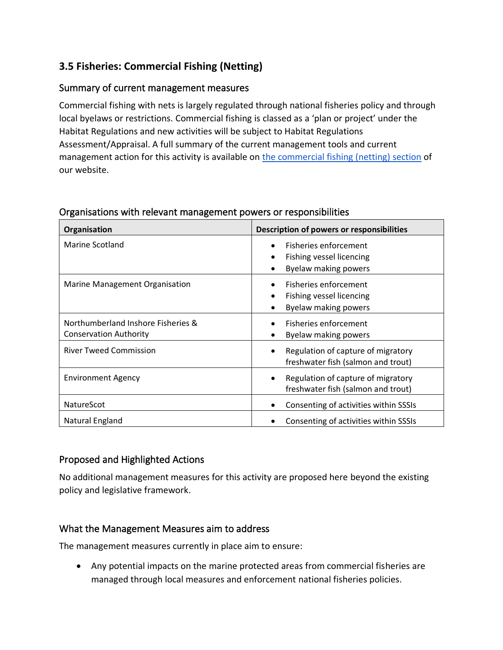### **3.5 Fisheries: Commercial Fishing (Netting)**

### Summary of current management measures

Commercial fishing with nets is largely regulated through national fisheries policy and through local byelaws or restrictions. Commercial fishing is classed as a 'plan or project' under the Habitat Regulations and new activities will be subject to Habitat Regulations Assessment/Appraisal. A full summary of the current management tools and current management action for this activity is available on [the commercial fishing \(netting\) section](https://www.xbordercurrents.co.uk/mpa-toolkit/mpas-in-our-area/commercial-fishing-netting/) of our website.

| Organisation                                                        | Description of powers or responsibilities                                                                        |
|---------------------------------------------------------------------|------------------------------------------------------------------------------------------------------------------|
| Marine Scotland                                                     | Fisheries enforcement<br>$\bullet$<br>Fishing vessel licencing<br>$\bullet$<br>Byelaw making powers<br>$\bullet$ |
| Marine Management Organisation                                      | Fisheries enforcement<br>Fishing vessel licencing<br>$\bullet$<br>Byelaw making powers<br>٠                      |
| Northumberland Inshore Fisheries &<br><b>Conservation Authority</b> | Fisheries enforcement<br>Byelaw making powers                                                                    |
| <b>River Tweed Commission</b>                                       | Regulation of capture of migratory<br>$\bullet$<br>freshwater fish (salmon and trout)                            |
| <b>Environment Agency</b>                                           | Regulation of capture of migratory<br>٠<br>freshwater fish (salmon and trout)                                    |
| <b>NatureScot</b>                                                   | Consenting of activities within SSSIs                                                                            |
| Natural England                                                     | Consenting of activities within SSSIs                                                                            |

### Organisations with relevant management powers or responsibilities

### Proposed and Highlighted Actions

No additional management measures for this activity are proposed here beyond the existing policy and legislative framework.

### What the Management Measures aim to address

The management measures currently in place aim to ensure:

• Any potential impacts on the marine protected areas from commercial fisheries are managed through local measures and enforcement national fisheries policies.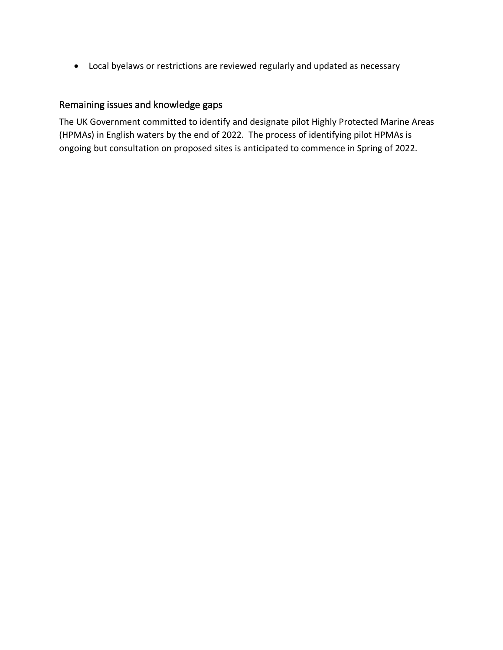• Local byelaws or restrictions are reviewed regularly and updated as necessary

### Remaining issues and knowledge gaps

The UK Government committed to identify and designate pilot Highly Protected Marine Areas (HPMAs) in English waters by the end of 2022. The process of identifying pilot HPMAs is ongoing but consultation on proposed sites is anticipated to commence in Spring of 2022.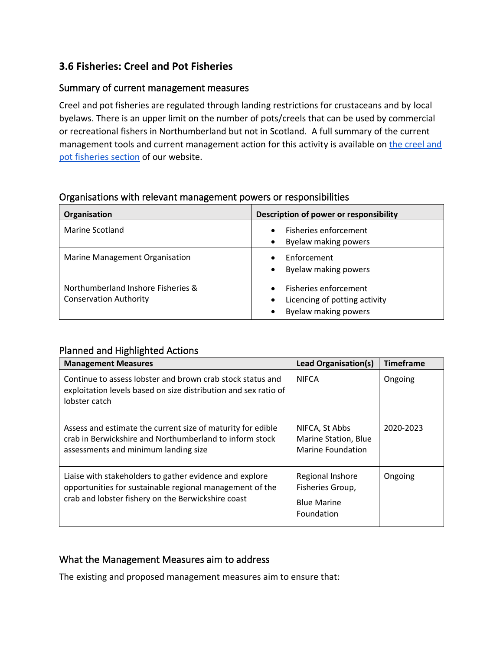### **3.6 Fisheries: Creel and Pot Fisheries**

### Summary of current management measures

Creel and pot fisheries are regulated through landing restrictions for crustaceans and by local byelaws. There is an upper limit on the number of pots/creels that can be used by commercial or recreational fishers in Northumberland but not in Scotland. A full summary of the current management tools and current management action for this activity is available on the creel and [pot fisheries section](http://www.xbordercurrents.co.uk/mpa-toolkit/mpas-in-our-area/creel-pot-fisheries/) of our website.

| Organisation                                                        | Description of power or responsibility                                                      |
|---------------------------------------------------------------------|---------------------------------------------------------------------------------------------|
| Marine Scotland                                                     | Fisheries enforcement<br>$\bullet$<br>Byelaw making powers<br>$\bullet$                     |
| Marine Management Organisation                                      | Enforcement<br>Byelaw making powers<br>$\bullet$                                            |
| Northumberland Inshore Fisheries &<br><b>Conservation Authority</b> | Fisheries enforcement<br>Licencing of potting activity<br>$\bullet$<br>Byelaw making powers |

### Organisations with relevant management powers or responsibilities

### Planned and Highlighted Actions

| <b>Management Measures</b>                                                                                                                                                | <b>Lead Organisation(s)</b>                                              | <b>Timeframe</b> |
|---------------------------------------------------------------------------------------------------------------------------------------------------------------------------|--------------------------------------------------------------------------|------------------|
| Continue to assess lobster and brown crab stock status and<br>exploitation levels based on size distribution and sex ratio of<br>lobster catch                            | <b>NIFCA</b>                                                             | Ongoing          |
| Assess and estimate the current size of maturity for edible<br>crab in Berwickshire and Northumberland to inform stock<br>assessments and minimum landing size            | NIFCA, St Abbs<br>Marine Station, Blue<br>Marine Foundation              | 2020-2023        |
| Liaise with stakeholders to gather evidence and explore<br>opportunities for sustainable regional management of the<br>crab and lobster fishery on the Berwickshire coast | Regional Inshore<br>Fisheries Group,<br><b>Blue Marine</b><br>Foundation | Ongoing          |

### What the Management Measures aim to address

The existing and proposed management measures aim to ensure that: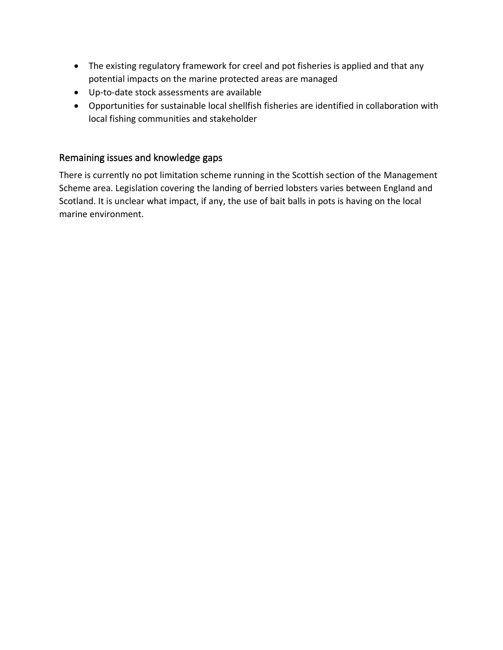- The existing regulatory framework for creel and pot fisheries is applied and that any potential impacts on the marine protected areas are managed
- Up-to-date stock assessments are available
- Opportunities for sustainable local shellfish fisheries are identified in collaboration with local fishing communities and stakeholder

### Remaining issues and knowledge gaps

There is currently no pot limitation scheme running in the Scottish section of the Management Scheme area. Legislation covering the landing of berried lobsters varies between England and Scotland. It is unclear what impact, if any, the use of bait balls in pots is having on the local marine environment.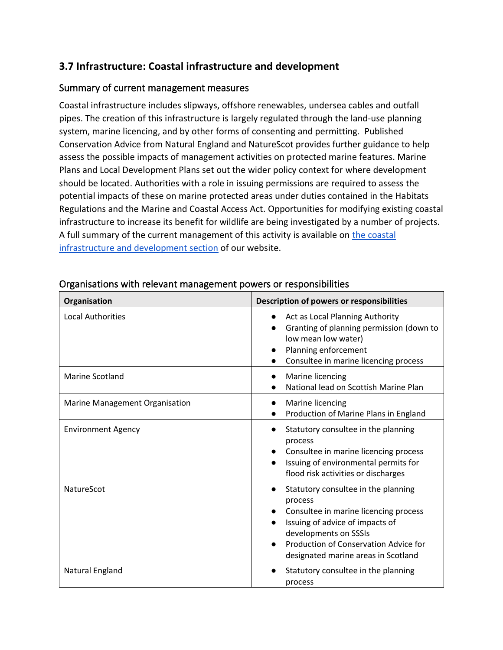### **3.7 Infrastructure: Coastal infrastructure and development**

### Summary of current management measures

Coastal infrastructure includes slipways, offshore renewables, undersea cables and outfall pipes. The creation of this infrastructure is largely regulated through the land-use planning system, marine licencing, and by other forms of consenting and permitting. Published Conservation Advice from Natural England and NatureScot provides further guidance to help assess the possible impacts of management activities on protected marine features. Marine Plans and Local Development Plans set out the wider policy context for where development should be located. Authorities with a role in issuing permissions are required to assess the potential impacts of these on marine protected areas under duties contained in the Habitats Regulations and the Marine and Coastal Access Act. Opportunities for modifying existing coastal infrastructure to increase its benefit for wildlife are being investigated by a number of projects. A full summary of the current management of this activity is available on [the coastal](https://www.xbordercurrents.co.uk/mpa-toolkit/mpas-in-our-area/coastal-infrastructure-and-development/)  [infrastructure and development section](https://www.xbordercurrents.co.uk/mpa-toolkit/mpas-in-our-area/coastal-infrastructure-and-development/) of our website.

| Organisation                   | Description of powers or responsibilities                                                                                                                                                                                           |  |  |
|--------------------------------|-------------------------------------------------------------------------------------------------------------------------------------------------------------------------------------------------------------------------------------|--|--|
| <b>Local Authorities</b>       | Act as Local Planning Authority<br>Granting of planning permission (down to<br>low mean low water)<br>Planning enforcement<br>Consultee in marine licencing process                                                                 |  |  |
| <b>Marine Scotland</b>         | Marine licencing<br>National lead on Scottish Marine Plan                                                                                                                                                                           |  |  |
| Marine Management Organisation | Marine licencing<br>Production of Marine Plans in England                                                                                                                                                                           |  |  |
| <b>Environment Agency</b>      | Statutory consultee in the planning<br>process<br>Consultee in marine licencing process<br>Issuing of environmental permits for<br>flood risk activities or discharges                                                              |  |  |
| NatureScot                     | Statutory consultee in the planning<br>process<br>Consultee in marine licencing process<br>Issuing of advice of impacts of<br>developments on SSSIs<br>Production of Conservation Advice for<br>designated marine areas in Scotland |  |  |
| Natural England                | Statutory consultee in the planning<br>process                                                                                                                                                                                      |  |  |

### Organisations with relevant management powers or responsibilities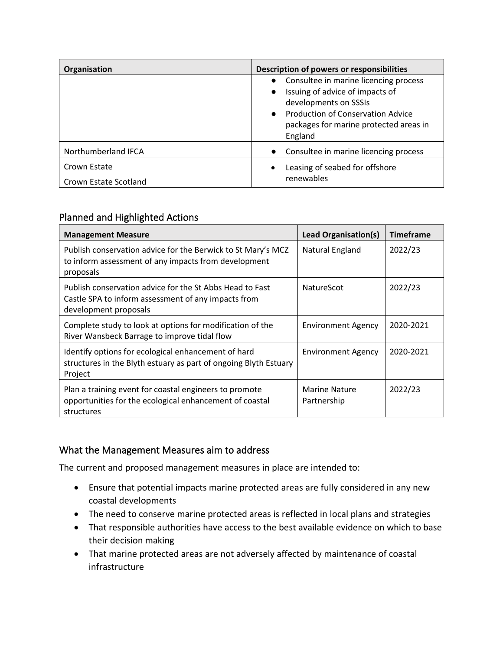| Organisation          | Description of powers or responsibilities                                               |  |  |
|-----------------------|-----------------------------------------------------------------------------------------|--|--|
|                       | • Consultee in marine licencing process<br>Issuing of advice of impacts of<br>$\bullet$ |  |  |
|                       | developments on SSSIs                                                                   |  |  |
|                       | • Production of Conservation Advice                                                     |  |  |
|                       | packages for marine protected areas in                                                  |  |  |
|                       | England                                                                                 |  |  |
| Northumberland IFCA   | Consultee in marine licencing process                                                   |  |  |
| Crown Estate          | Leasing of seabed for offshore<br>$\bullet$                                             |  |  |
| Crown Estate Scotland | renewables                                                                              |  |  |

### Planned and Highlighted Actions

| <b>Management Measure</b>                                                                                                                | Lead Organisation(s)                | <b>Timeframe</b> |
|------------------------------------------------------------------------------------------------------------------------------------------|-------------------------------------|------------------|
| Publish conservation advice for the Berwick to St Mary's MCZ<br>to inform assessment of any impacts from development<br>proposals        | Natural England                     | 2022/23          |
| Publish conservation advice for the St Abbs Head to Fast<br>Castle SPA to inform assessment of any impacts from<br>development proposals | <b>NatureScot</b>                   | 2022/23          |
| Complete study to look at options for modification of the<br>River Wansbeck Barrage to improve tidal flow                                | <b>Environment Agency</b>           | 2020-2021        |
| Identify options for ecological enhancement of hard<br>structures in the Blyth estuary as part of ongoing Blyth Estuary<br>Project       | <b>Environment Agency</b>           | 2020-2021        |
| Plan a training event for coastal engineers to promote<br>opportunities for the ecological enhancement of coastal<br>structures          | <b>Marine Nature</b><br>Partnership | 2022/23          |

### What the Management Measures aim to address

The current and proposed management measures in place are intended to:

- Ensure that potential impacts marine protected areas are fully considered in any new coastal developments
- The need to conserve marine protected areas is reflected in local plans and strategies
- That responsible authorities have access to the best available evidence on which to base their decision making
- That marine protected areas are not adversely affected by maintenance of coastal infrastructure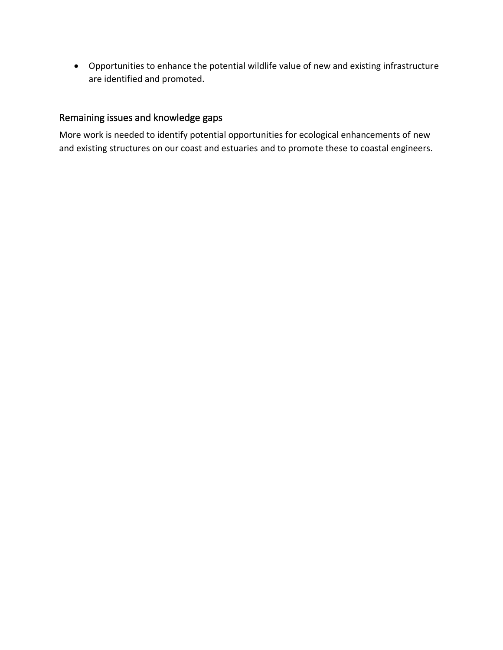• Opportunities to enhance the potential wildlife value of new and existing infrastructure are identified and promoted.

### Remaining issues and knowledge gaps

More work is needed to identify potential opportunities for ecological enhancements of new and existing structures on our coast and estuaries and to promote these to coastal engineers.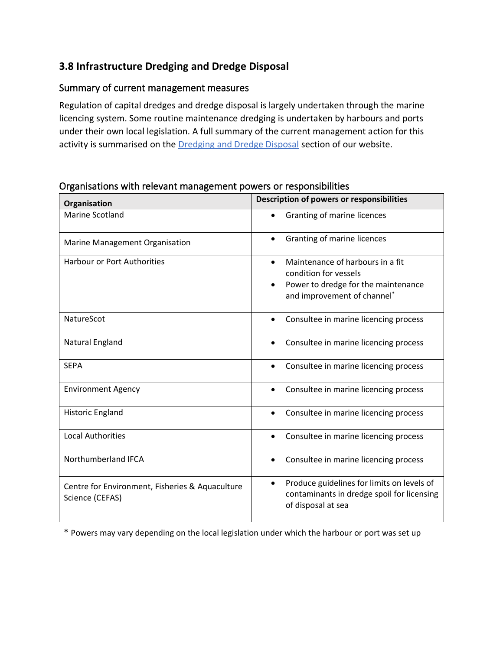### **3.8 Infrastructure Dredging and Dredge Disposal**

### Summary of current management measures

Regulation of capital dredges and dredge disposal is largely undertaken through the marine licencing system. Some routine maintenance dredging is undertaken by harbours and ports under their own local legislation. A full summary of the current management action for this activity is summarised on the [Dredging and Dredge Disposal](http://www.xbordercurrents.co.uk/mpa-toolkit/mpas-in-our-area/dredging-and-dredge-disposal/) section of our website.

| Organisation                                                       | Description of powers or responsibilities                                                                                   |
|--------------------------------------------------------------------|-----------------------------------------------------------------------------------------------------------------------------|
| <b>Marine Scotland</b>                                             | Granting of marine licences                                                                                                 |
| Marine Management Organisation                                     | Granting of marine licences<br>$\bullet$                                                                                    |
| <b>Harbour or Port Authorities</b>                                 | Maintenance of harbours in a fit<br>$\bullet$<br>condition for vessels                                                      |
|                                                                    | Power to dredge for the maintenance<br>$\bullet$<br>and improvement of channel*                                             |
| NatureScot                                                         | Consultee in marine licencing process<br>$\bullet$                                                                          |
| Natural England                                                    | Consultee in marine licencing process<br>$\bullet$                                                                          |
| <b>SEPA</b>                                                        | Consultee in marine licencing process                                                                                       |
| <b>Environment Agency</b>                                          | Consultee in marine licencing process<br>$\bullet$                                                                          |
| Historic England                                                   | Consultee in marine licencing process<br>$\bullet$                                                                          |
| <b>Local Authorities</b>                                           | Consultee in marine licencing process                                                                                       |
| Northumberland IFCA                                                | Consultee in marine licencing process<br>$\bullet$                                                                          |
| Centre for Environment, Fisheries & Aquaculture<br>Science (CEFAS) | Produce guidelines for limits on levels of<br>$\bullet$<br>contaminants in dredge spoil for licensing<br>of disposal at sea |

### Organisations with relevant management powers or responsibilities

\* Powers may vary depending on the local legislation under which the harbour or port was set up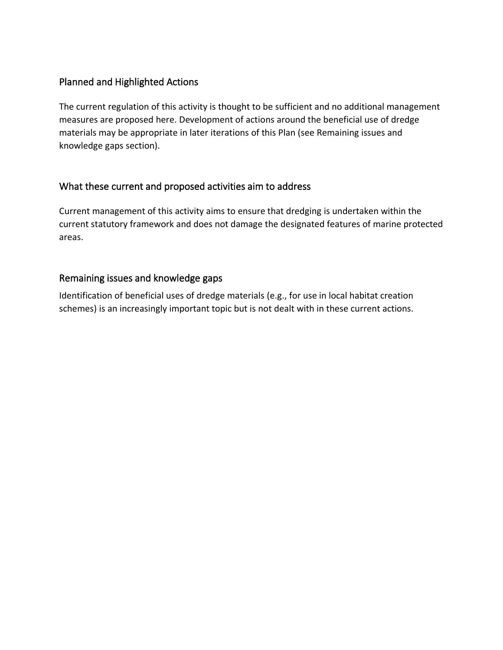### Planned and Highlighted Actions

The current regulation of this activity is thought to be sufficient and no additional management measures are proposed here. Development of actions around the beneficial use of dredge materials may be appropriate in later iterations of this Plan (see Remaining issues and knowledge gaps section).

### What these current and proposed activities aim to address

Current management of this activity aims to ensure that dredging is undertaken within the current statutory framework and does not damage the designated features of marine protected areas.

### Remaining issues and knowledge gaps

Identification of beneficial uses of dredge materials (e.g., for use in local habitat creation schemes) is an increasingly important topic but is not dealt with in these current actions.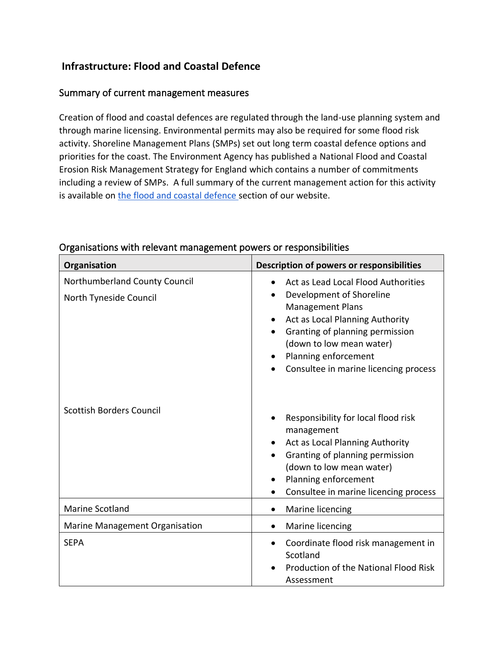### **Infrastructure: Flood and Coastal Defence**

### Summary of current management measures

Creation of flood and coastal defences are regulated through the land-use planning system and through marine licensing. Environmental permits may also be required for some flood risk activity. Shoreline Management Plans (SMPs) set out long term coastal defence options and priorities for the coast. The Environment Agency has published a National Flood and Coastal Erosion Risk Management Strategy for England which contains a number of commitments including a review of SMPs. A full summary of the current management action for this activity is available on [the flood and coastal defence](https://www.xbordercurrents.co.uk/mpa-toolkit/mpas-in-our-area/flood-and-coastal-defence/) section of our website.

| Organisation                                            | Description of powers or responsibilities                                                                                                                                                                                                                                               |
|---------------------------------------------------------|-----------------------------------------------------------------------------------------------------------------------------------------------------------------------------------------------------------------------------------------------------------------------------------------|
| Northumberland County Council<br>North Tyneside Council | Act as Lead Local Flood Authorities<br>$\bullet$<br>Development of Shoreline<br><b>Management Plans</b><br>Act as Local Planning Authority<br>$\bullet$<br>Granting of planning permission<br>(down to low mean water)<br>Planning enforcement<br>Consultee in marine licencing process |
| <b>Scottish Borders Council</b>                         | Responsibility for local flood risk<br>management<br>Act as Local Planning Authority<br>Granting of planning permission<br>(down to low mean water)<br>Planning enforcement<br>Consultee in marine licencing process                                                                    |
| <b>Marine Scotland</b>                                  | Marine licencing                                                                                                                                                                                                                                                                        |
| Marine Management Organisation                          | Marine licencing                                                                                                                                                                                                                                                                        |
| <b>SEPA</b>                                             | Coordinate flood risk management in<br>Scotland<br>Production of the National Flood Risk<br>Assessment                                                                                                                                                                                  |

### Organisations with relevant management powers or responsibilities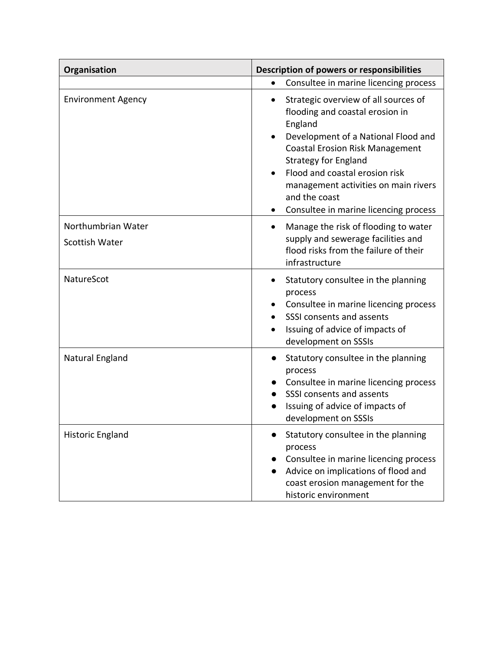| Organisation                         | Description of powers or responsibilities                                                                                                                                                                                                                                                                                                           |  |  |
|--------------------------------------|-----------------------------------------------------------------------------------------------------------------------------------------------------------------------------------------------------------------------------------------------------------------------------------------------------------------------------------------------------|--|--|
|                                      | Consultee in marine licencing process<br>$\bullet$                                                                                                                                                                                                                                                                                                  |  |  |
| <b>Environment Agency</b>            | Strategic overview of all sources of<br>$\bullet$<br>flooding and coastal erosion in<br>England<br>Development of a National Flood and<br><b>Coastal Erosion Risk Management</b><br><b>Strategy for England</b><br>Flood and coastal erosion risk<br>management activities on main rivers<br>and the coast<br>Consultee in marine licencing process |  |  |
| Northumbrian Water<br>Scottish Water | Manage the risk of flooding to water<br>$\bullet$<br>supply and sewerage facilities and<br>flood risks from the failure of their<br>infrastructure                                                                                                                                                                                                  |  |  |
| NatureScot                           | Statutory consultee in the planning<br>process<br>Consultee in marine licencing process<br>SSSI consents and assents<br>Issuing of advice of impacts of<br>development on SSSIs                                                                                                                                                                     |  |  |
| Natural England                      | Statutory consultee in the planning<br>process<br>Consultee in marine licencing process<br>SSSI consents and assents<br>Issuing of advice of impacts of<br>development on SSSIs                                                                                                                                                                     |  |  |
| <b>Historic England</b>              | Statutory consultee in the planning<br>process<br>Consultee in marine licencing process<br>Advice on implications of flood and<br>coast erosion management for the<br>historic environment                                                                                                                                                          |  |  |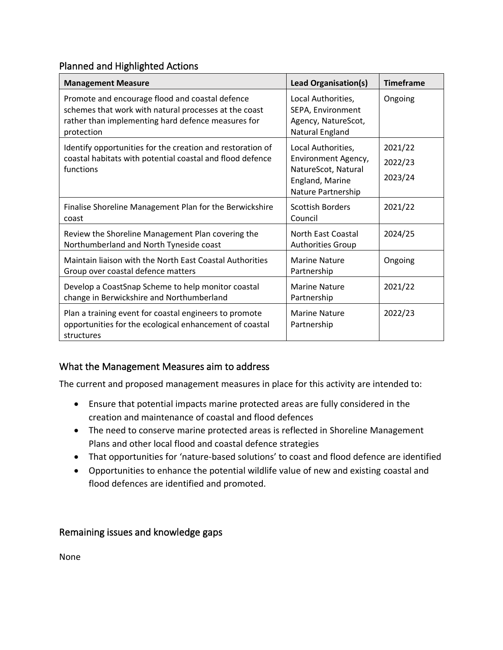### Planned and Highlighted Actions

| <b>Management Measure</b>                                                                                                                                                    | <b>Lead Organisation(s)</b>                                                       | <b>Timeframe</b> |
|------------------------------------------------------------------------------------------------------------------------------------------------------------------------------|-----------------------------------------------------------------------------------|------------------|
| Promote and encourage flood and coastal defence<br>schemes that work with natural processes at the coast<br>rather than implementing hard defence measures for<br>protection | Local Authorities,<br>SEPA, Environment<br>Agency, NatureScot,<br>Natural England | Ongoing          |
| Identify opportunities for the creation and restoration of                                                                                                                   | Local Authorities,                                                                | 2021/22          |
| coastal habitats with potential coastal and flood defence<br>functions                                                                                                       | Environment Agency,<br>NatureScot, Natural                                        | 2022/23          |
|                                                                                                                                                                              | England, Marine<br>Nature Partnership                                             | 2023/24          |
| Finalise Shoreline Management Plan for the Berwickshire<br>coast                                                                                                             | <b>Scottish Borders</b><br>Council                                                | 2021/22          |
| Review the Shoreline Management Plan covering the<br>Northumberland and North Tyneside coast                                                                                 | North East Coastal<br><b>Authorities Group</b>                                    | 2024/25          |
| Maintain liaison with the North East Coastal Authorities<br>Group over coastal defence matters                                                                               | <b>Marine Nature</b><br>Partnership                                               | Ongoing          |
| Develop a CoastSnap Scheme to help monitor coastal<br>change in Berwickshire and Northumberland                                                                              | <b>Marine Nature</b><br>Partnership                                               | 2021/22          |
| Plan a training event for coastal engineers to promote<br>opportunities for the ecological enhancement of coastal<br>structures                                              | <b>Marine Nature</b><br>Partnership                                               | 2022/23          |

### What the Management Measures aim to address

The current and proposed management measures in place for this activity are intended to:

- Ensure that potential impacts marine protected areas are fully considered in the creation and maintenance of coastal and flood defences
- The need to conserve marine protected areas is reflected in Shoreline Management Plans and other local flood and coastal defence strategies
- That opportunities for 'nature-based solutions' to coast and flood defence are identified
- Opportunities to enhance the potential wildlife value of new and existing coastal and flood defences are identified and promoted.

### Remaining issues and knowledge gaps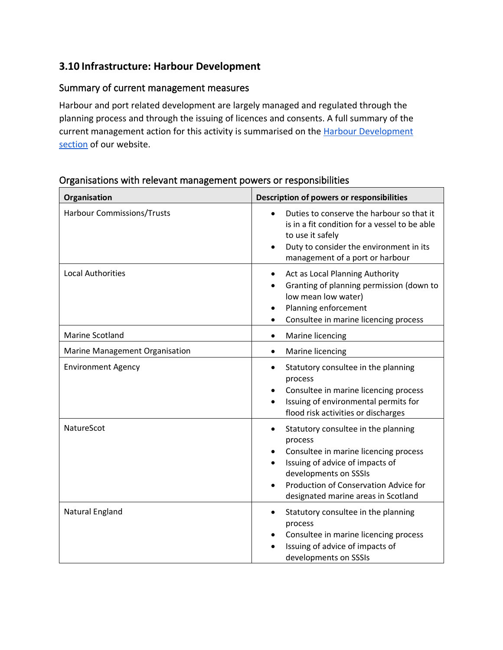### **3.10 Infrastructure: Harbour Development**

### Summary of current management measures

Harbour and port related development are largely managed and regulated through the planning process and through the issuing of licences and consents. A full summary of the current management action for this activity is summarised on th[e Harbour Development](https://www.xbordercurrents.co.uk/mpa-toolkit/mpas-in-our-area/harbour-development/)  [section](https://www.xbordercurrents.co.uk/mpa-toolkit/mpas-in-our-area/harbour-development/) of our website.

### **Organisation Description of powers or responsibilities** Harbour Commissions/Trusts • Duties to conserve the harbour so that it is in a fit condition for a vessel to be able to use it safely • Duty to consider the environment in its management of a port or harbour Local Authorities **Fig. 2 COLLEGAN CONTENT CONTENT •** Act as Local Planning Authority • Granting of planning permission (down to low mean low water) • Planning enforcement • Consultee in marine licencing process Marine Scotland **Contact Contact Contact Contact Contact Contact Contact Contact Contact Contact Contact Contact Contact Contact Contact Contact Contact Contact Contact Contact Contact Contact Contact Contact Contact Conta** Marine Management Organisation **•** Marine licencing Environment Agency • Statutory consultee in the planning process • Consultee in marine licencing process • Issuing of environmental permits for flood risk activities or discharges NatureScot **Figure 1 CO CONS CONS CONS CONS CONS CONS CONS CONS CONS CONS CONS CONS CONS CONS CONS CONS CONS CONS CONS CONS CONS CONS CONS CONS CONS CONS CONS CON** process • Consultee in marine licencing process • Issuing of advice of impacts of developments on SSSIs • Production of Conservation Advice for designated marine areas in Scotland Natural England **• Statutory consultee in the planning** process • Consultee in marine licencing process • Issuing of advice of impacts of developments on SSSIs

#### Organisations with relevant management powers or responsibilities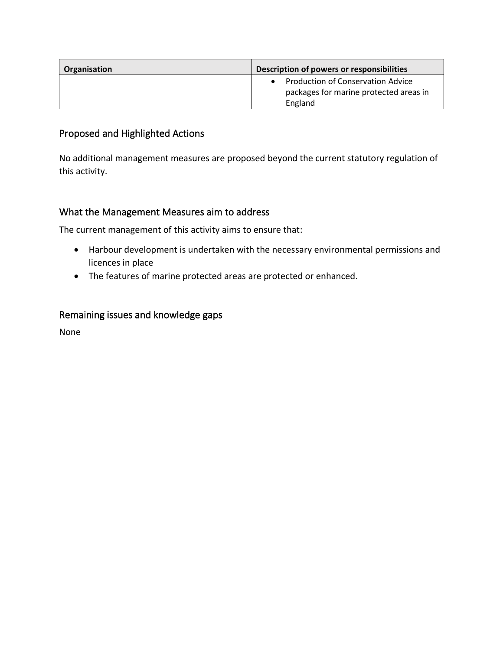| Organisation | Description of powers or responsibilities                                                                  |
|--------------|------------------------------------------------------------------------------------------------------------|
|              | <b>Production of Conservation Advice</b><br>$\bullet$<br>packages for marine protected areas in<br>England |

### Proposed and Highlighted Actions

No additional management measures are proposed beyond the current statutory regulation of this activity.

### What the Management Measures aim to address

The current management of this activity aims to ensure that:

- Harbour development is undertaken with the necessary environmental permissions and licences in place
- The features of marine protected areas are protected or enhanced.

### Remaining issues and knowledge gaps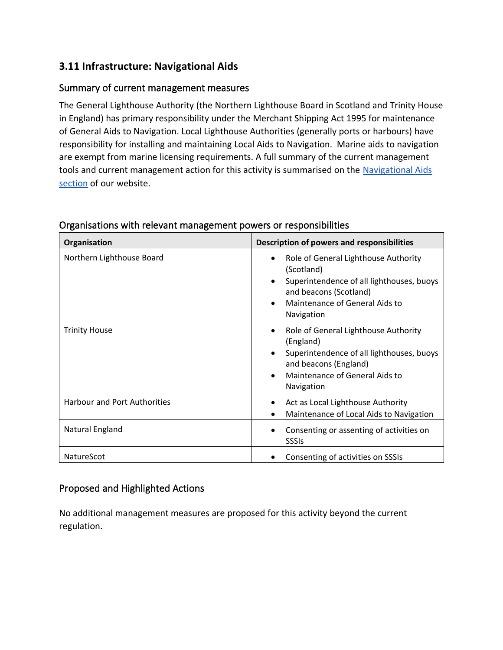### **3.11 Infrastructure: Navigational Aids**

### Summary of current management measures

The General Lighthouse Authority (the Northern Lighthouse Board in Scotland and Trinity House in England) has primary responsibility under the Merchant Shipping Act 1995 for maintenance of General Aids to Navigation. Local Lighthouse Authorities (generally ports or harbours) have responsibility for installing and maintaining Local Aids to Navigation. Marine aids to navigation are exempt from marine licensing requirements. A full summary of the current management tools and current management action for this activity is summarised on the [Navigational Aids](http://www.xbordercurrents.co.uk/mpa-toolkit/mpas-in-our-area/navigation-aids/)  [section](http://www.xbordercurrents.co.uk/mpa-toolkit/mpas-in-our-area/navigation-aids/) of our website.

| Organisation                        | Description of powers and responsibilities                                                                                                                                                                     |
|-------------------------------------|----------------------------------------------------------------------------------------------------------------------------------------------------------------------------------------------------------------|
| Northern Lighthouse Board           | Role of General Lighthouse Authority<br>(Scotland)<br>Superintendence of all lighthouses, buoys<br>and beacons (Scotland)<br>Maintenance of General Aids to<br>Navigation                                      |
| <b>Trinity House</b>                | Role of General Lighthouse Authority<br>$\bullet$<br>(England)<br>Superintendence of all lighthouses, buoys<br>$\bullet$<br>and beacons (England)<br>Maintenance of General Aids to<br>$\bullet$<br>Navigation |
| <b>Harbour and Port Authorities</b> | Act as Local Lighthouse Authority<br>٠<br>Maintenance of Local Aids to Navigation                                                                                                                              |
| Natural England                     | Consenting or assenting of activities on<br><b>SSSIs</b>                                                                                                                                                       |
| NatureScot                          | Consenting of activities on SSSIs                                                                                                                                                                              |

#### Organisations with relevant management powers or responsibilities

### Proposed and Highlighted Actions

No additional management measures are proposed for this activity beyond the current regulation.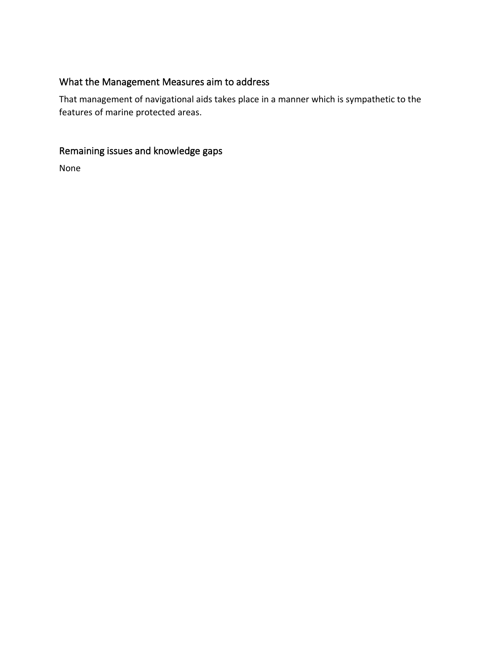### What the Management Measures aim to address

That management of navigational aids takes place in a manner which is sympathetic to the features of marine protected areas.

# Remaining issues and knowledge gaps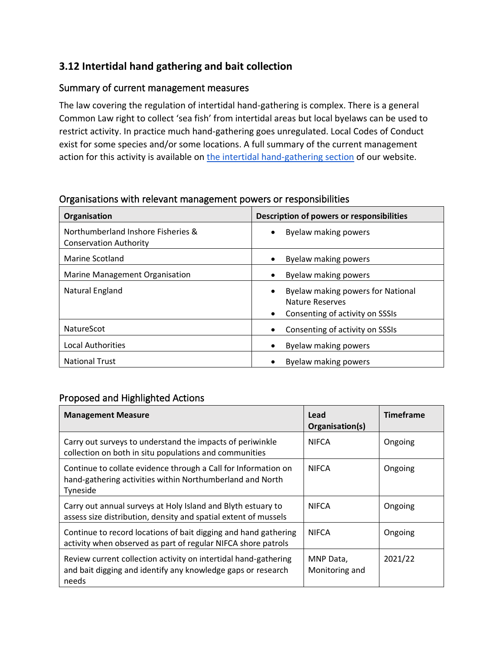### **3.12 Intertidal hand gathering and bait collection**

### Summary of current management measures

The law covering the regulation of intertidal hand-gathering is complex. There is a general Common Law right to collect 'sea fish' from intertidal areas but local byelaws can be used to restrict activity. In practice much hand-gathering goes unregulated. Local Codes of Conduct exist for some species and/or some locations. A full summary of the current management action for this activity is available on [the intertidal hand-gathering section](https://www.xbordercurrents.co.uk/mpa-toolkit/mpas-in-our-area/intertidal-hand-gathering/) of our website.

| Organisation                                                        | Description of powers or responsibilities                                                                         |
|---------------------------------------------------------------------|-------------------------------------------------------------------------------------------------------------------|
| Northumberland Inshore Fisheries &<br><b>Conservation Authority</b> | Byelaw making powers<br>$\bullet$                                                                                 |
| Marine Scotland                                                     | Byelaw making powers<br>$\bullet$                                                                                 |
| Marine Management Organisation                                      | Byelaw making powers<br>$\bullet$                                                                                 |
| Natural England                                                     | Byelaw making powers for National<br>$\bullet$<br>Nature Reserves<br>Consenting of activity on SSSIs<br>$\bullet$ |
| <b>NatureScot</b>                                                   | Consenting of activity on SSSIs<br>$\bullet$                                                                      |
| <b>Local Authorities</b>                                            | Byelaw making powers                                                                                              |
| <b>National Trust</b>                                               | Byelaw making powers<br>$\bullet$                                                                                 |

#### Organisations with relevant management powers or responsibilities

### Proposed and Highlighted Actions

| <b>Management Measure</b>                                                                                                                | Lead<br>Organisation(s)     | <b>Timeframe</b> |
|------------------------------------------------------------------------------------------------------------------------------------------|-----------------------------|------------------|
| Carry out surveys to understand the impacts of periwinkle<br>collection on both in situ populations and communities                      | <b>NIFCA</b>                | Ongoing          |
| Continue to collate evidence through a Call for Information on<br>hand-gathering activities within Northumberland and North<br>Tyneside  | <b>NIFCA</b>                | Ongoing          |
| Carry out annual surveys at Holy Island and Blyth estuary to<br>assess size distribution, density and spatial extent of mussels          | <b>NIFCA</b>                | Ongoing          |
| Continue to record locations of bait digging and hand gathering<br>activity when observed as part of regular NIFCA shore patrols         | <b>NIFCA</b>                | Ongoing          |
| Review current collection activity on intertidal hand-gathering<br>and bait digging and identify any knowledge gaps or research<br>needs | MNP Data,<br>Monitoring and | 2021/22          |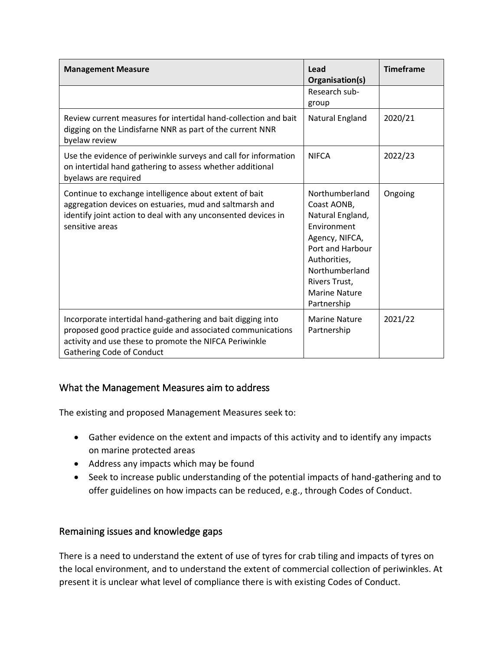| <b>Management Measure</b>                                                                                                                                                                                               | Lead<br>Organisation(s)                                                                                                                                                                          | <b>Timeframe</b> |
|-------------------------------------------------------------------------------------------------------------------------------------------------------------------------------------------------------------------------|--------------------------------------------------------------------------------------------------------------------------------------------------------------------------------------------------|------------------|
|                                                                                                                                                                                                                         | Research sub-<br>group                                                                                                                                                                           |                  |
| Review current measures for intertidal hand-collection and bait<br>digging on the Lindisfarne NNR as part of the current NNR<br>byelaw review                                                                           | Natural England                                                                                                                                                                                  | 2020/21          |
| Use the evidence of periwinkle surveys and call for information<br>on intertidal hand gathering to assess whether additional<br>byelaws are required                                                                    | <b>NIFCA</b>                                                                                                                                                                                     | 2022/23          |
| Continue to exchange intelligence about extent of bait<br>aggregation devices on estuaries, mud and saltmarsh and<br>identify joint action to deal with any unconsented devices in<br>sensitive areas                   | Northumberland<br>Coast AONB,<br>Natural England,<br>Environment<br>Agency, NIFCA,<br>Port and Harbour<br>Authorities,<br>Northumberland<br>Rivers Trust,<br><b>Marine Nature</b><br>Partnership | Ongoing          |
| Incorporate intertidal hand-gathering and bait digging into<br>proposed good practice guide and associated communications<br>activity and use these to promote the NIFCA Periwinkle<br><b>Gathering Code of Conduct</b> | <b>Marine Nature</b><br>Partnership                                                                                                                                                              | 2021/22          |

### What the Management Measures aim to address

The existing and proposed Management Measures seek to:

- Gather evidence on the extent and impacts of this activity and to identify any impacts on marine protected areas
- Address any impacts which may be found
- Seek to increase public understanding of the potential impacts of hand-gathering and to offer guidelines on how impacts can be reduced, e.g., through Codes of Conduct.

### Remaining issues and knowledge gaps

There is a need to understand the extent of use of tyres for crab tiling and impacts of tyres on the local environment, and to understand the extent of commercial collection of periwinkles. At present it is unclear what level of compliance there is with existing Codes of Conduct.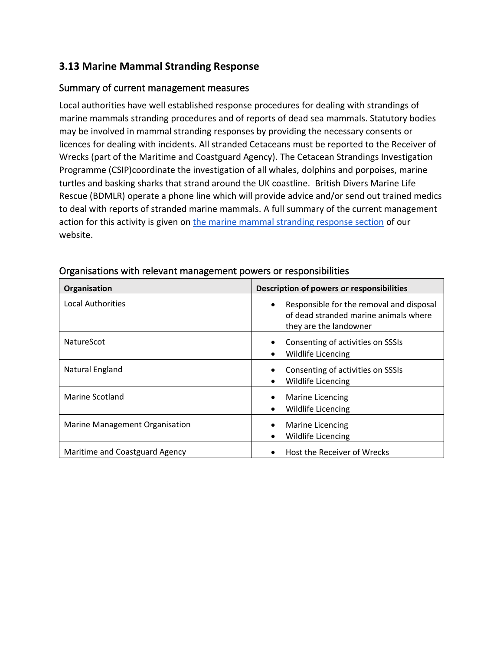### **3.13 Marine Mammal Stranding Response**

### Summary of current management measures

Local authorities have well established response procedures for dealing with strandings of marine mammals stranding procedures and of reports of dead sea mammals. Statutory bodies may be involved in mammal stranding responses by providing the necessary consents or licences for dealing with incidents. All stranded Cetaceans must be reported to the Receiver of Wrecks (part of the Maritime and Coastguard Agency). The Cetacean Strandings Investigation Programme (CSIP)coordinate the investigation of all whales, dolphins and porpoises, marine turtles and basking sharks that strand around the UK coastline. British Divers Marine Life Rescue (BDMLR) operate a phone line which will provide advice and/or send out trained medics to deal with reports of stranded marine mammals. A full summary of the current management action for this activity is given o[n the marine mammal stranding response section](https://www.xbordercurrents.co.uk/mpa-toolkit/mpas-in-our-area/seal-stranding-response/) of our website.

| Organisation                   | Description of powers or responsibilities                                                                                |
|--------------------------------|--------------------------------------------------------------------------------------------------------------------------|
| <b>Local Authorities</b>       | Responsible for the removal and disposal<br>$\bullet$<br>of dead stranded marine animals where<br>they are the landowner |
| <b>NatureScot</b>              | Consenting of activities on SSSIs<br>Wildlife Licencing<br>$\bullet$                                                     |
| Natural England                | Consenting of activities on SSSIs<br>$\bullet$<br>Wildlife Licencing<br>$\bullet$                                        |
| Marine Scotland                | Marine Licencing<br>$\bullet$<br><b>Wildlife Licencing</b><br>$\bullet$                                                  |
| Marine Management Organisation | Marine Licencing<br>٠<br><b>Wildlife Licencing</b><br>٠                                                                  |
| Maritime and Coastguard Agency | Host the Receiver of Wrecks<br>$\bullet$                                                                                 |

#### Organisations with relevant management powers or responsibilities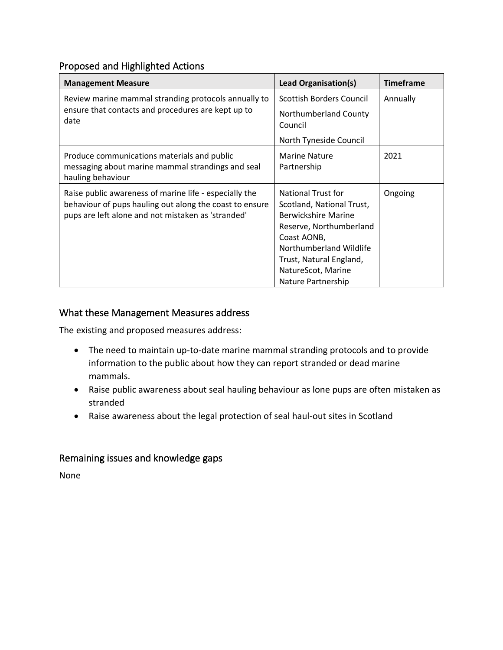### Proposed and Highlighted Actions

| <b>Management Measure</b>                                                                                                                                               | <b>Lead Organisation(s)</b>                                                                                                                                                                                               | <b>Timeframe</b> |
|-------------------------------------------------------------------------------------------------------------------------------------------------------------------------|---------------------------------------------------------------------------------------------------------------------------------------------------------------------------------------------------------------------------|------------------|
| Review marine mammal stranding protocols annually to<br>ensure that contacts and procedures are kept up to<br>date                                                      | <b>Scottish Borders Council</b>                                                                                                                                                                                           | Annually         |
|                                                                                                                                                                         | Northumberland County<br>Council                                                                                                                                                                                          |                  |
|                                                                                                                                                                         | North Tyneside Council                                                                                                                                                                                                    |                  |
| Produce communications materials and public<br>messaging about marine mammal strandings and seal<br>hauling behaviour                                                   | <b>Marine Nature</b><br>Partnership                                                                                                                                                                                       | 2021             |
| Raise public awareness of marine life - especially the<br>behaviour of pups hauling out along the coast to ensure<br>pups are left alone and not mistaken as 'stranded' | National Trust for<br>Scotland, National Trust,<br><b>Berwickshire Marine</b><br>Reserve, Northumberland<br>Coast AONB,<br>Northumberland Wildlife<br>Trust, Natural England,<br>NatureScot, Marine<br>Nature Partnership | Ongoing          |

### What these Management Measures address

The existing and proposed measures address:

- The need to maintain up-to-date marine mammal stranding protocols and to provide information to the public about how they can report stranded or dead marine mammals.
- Raise public awareness about seal hauling behaviour as lone pups are often mistaken as stranded
- Raise awareness about the legal protection of seal haul-out sites in Scotland

### Remaining issues and knowledge gaps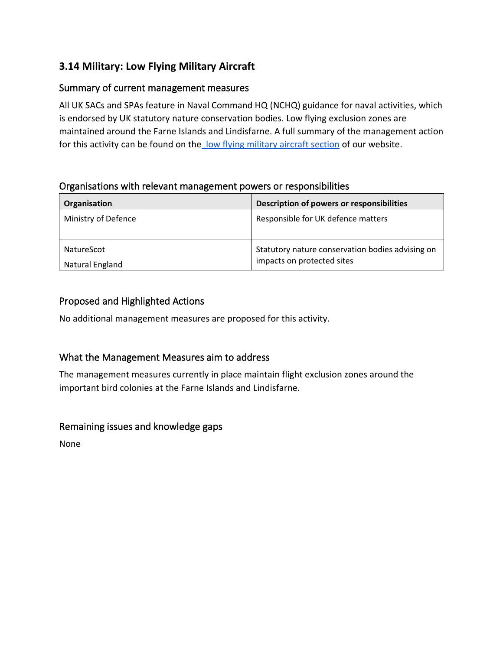### **3.14 Military: Low Flying Military Aircraft**

### Summary of current management measures

All UK SACs and SPAs feature in Naval Command HQ (NCHQ) guidance for naval activities, which is endorsed by UK statutory nature conservation bodies. Low flying exclusion zones are maintained around the Farne Islands and Lindisfarne. A full summary of the management action for this activity can be found on the [low flying military aircraft section](https://www.xbordercurrents.co.uk/mpa-toolkit/mpas-in-our-area/low-flying-military-aircraft/) of our website.

### Organisations with relevant management powers or responsibilities

| Organisation                  | Description of powers or responsibilities                                      |
|-------------------------------|--------------------------------------------------------------------------------|
| Ministry of Defence           | Responsible for UK defence matters                                             |
| NatureScot<br>Natural England | Statutory nature conservation bodies advising on<br>impacts on protected sites |

### Proposed and Highlighted Actions

No additional management measures are proposed for this activity.

### What the Management Measures aim to address

The management measures currently in place maintain flight exclusion zones around the important bird colonies at the Farne Islands and Lindisfarne.

### Remaining issues and knowledge gaps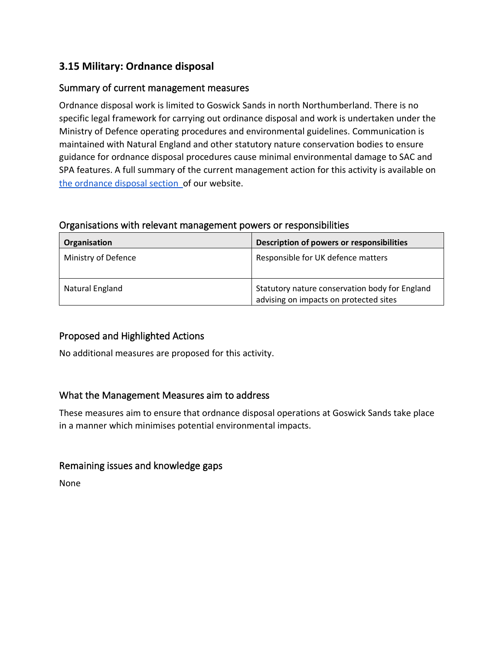### **3.15 Military: Ordnance disposal**

### Summary of current management measures

Ordnance disposal work is limited to Goswick Sands in north Northumberland. There is no specific legal framework for carrying out ordinance disposal and work is undertaken under the Ministry of Defence operating procedures and environmental guidelines. Communication is maintained with Natural England and other statutory nature conservation bodies to ensure guidance for ordnance disposal procedures cause minimal environmental damage to SAC and SPA features. A full summary of the current management action for this activity is available on [the ordnance disposal section](https://www.xbordercurrents.co.uk/mpa-toolkit/mpas-in-our-area/ordnance-disposal/) of our website.

#### Organisations with relevant management powers or responsibilities

| Organisation        | Description of powers or responsibilities                                                |
|---------------------|------------------------------------------------------------------------------------------|
| Ministry of Defence | Responsible for UK defence matters                                                       |
| Natural England     | Statutory nature conservation body for England<br>advising on impacts on protected sites |

### Proposed and Highlighted Actions

No additional measures are proposed for this activity.

#### What the Management Measures aim to address

These measures aim to ensure that ordnance disposal operations at Goswick Sands take place in a manner which minimises potential environmental impacts.

#### Remaining issues and knowledge gaps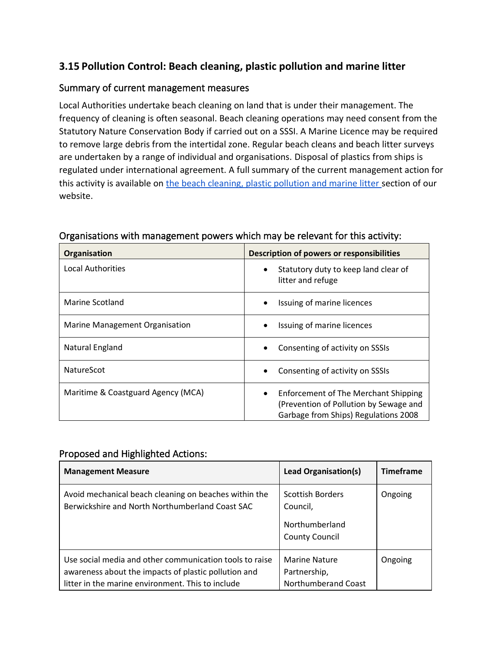### **3.15 Pollution Control: Beach cleaning, plastic pollution and marine litter**

### Summary of current management measures

Local Authorities undertake beach cleaning on land that is under their management. The frequency of cleaning is often seasonal. Beach cleaning operations may need consent from the Statutory Nature Conservation Body if carried out on a SSSI. A Marine Licence may be required to remove large debris from the intertidal zone. Regular beach cleans and beach litter surveys are undertaken by a range of individual and organisations. Disposal of plastics from ships is regulated under international agreement. A full summary of the current management action for this activity is available on the beach cleaning, plastic pollution and marine litter section of our website.

| Organisation                       | <b>Description of powers or responsibilities</b>                                                                                           |
|------------------------------------|--------------------------------------------------------------------------------------------------------------------------------------------|
| <b>Local Authorities</b>           | Statutory duty to keep land clear of<br>$\bullet$<br>litter and refuge                                                                     |
| Marine Scotland                    | Issuing of marine licences                                                                                                                 |
| Marine Management Organisation     | Issuing of marine licences<br>٠                                                                                                            |
| Natural England                    | Consenting of activity on SSSIs<br>$\bullet$                                                                                               |
| NatureScot                         | Consenting of activity on SSSIs<br>$\bullet$                                                                                               |
| Maritime & Coastguard Agency (MCA) | <b>Enforcement of The Merchant Shipping</b><br>$\bullet$<br>(Prevention of Pollution by Sewage and<br>Garbage from Ships) Regulations 2008 |

#### Organisations with management powers which may be relevant for this activity:

### Proposed and Highlighted Actions:

| <b>Management Measure</b>                                                                                                                                            | <b>Lead Organisation(s)</b>                                                    | <b>Timeframe</b> |
|----------------------------------------------------------------------------------------------------------------------------------------------------------------------|--------------------------------------------------------------------------------|------------------|
| Avoid mechanical beach cleaning on beaches within the<br>Berwickshire and North Northumberland Coast SAC                                                             | <b>Scottish Borders</b><br>Council,<br>Northumberland<br><b>County Council</b> | Ongoing          |
| Use social media and other communication tools to raise<br>awareness about the impacts of plastic pollution and<br>litter in the marine environment. This to include | <b>Marine Nature</b><br>Partnership,<br>Northumberand Coast                    | Ongoing          |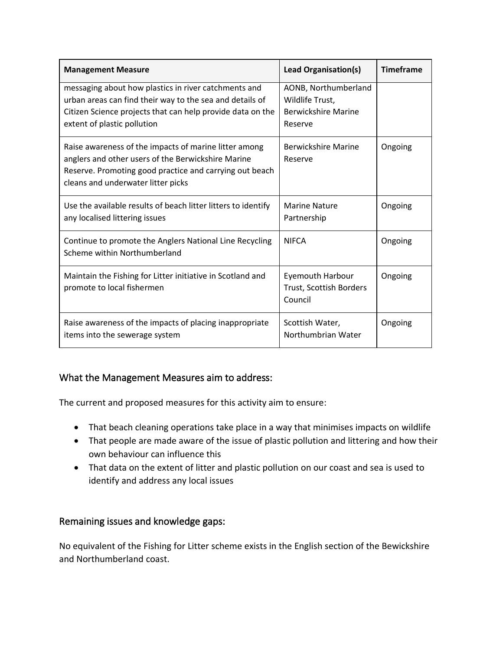| <b>Management Measure</b>                                                                                                                                                                                     | <b>Lead Organisation(s)</b>                                                      | <b>Timeframe</b> |
|---------------------------------------------------------------------------------------------------------------------------------------------------------------------------------------------------------------|----------------------------------------------------------------------------------|------------------|
| messaging about how plastics in river catchments and<br>urban areas can find their way to the sea and details of<br>Citizen Science projects that can help provide data on the<br>extent of plastic pollution | AONB, Northumberland<br>Wildlife Trust,<br><b>Berwickshire Marine</b><br>Reserve |                  |
| Raise awareness of the impacts of marine litter among<br>anglers and other users of the Berwickshire Marine<br>Reserve. Promoting good practice and carrying out beach<br>cleans and underwater litter picks  | <b>Berwickshire Marine</b><br>Reserve                                            | Ongoing          |
| Use the available results of beach litter litters to identify<br>any localised littering issues                                                                                                               | <b>Marine Nature</b><br>Partnership                                              | Ongoing          |
| Continue to promote the Anglers National Line Recycling<br>Scheme within Northumberland                                                                                                                       | <b>NIFCA</b>                                                                     | Ongoing          |
| Maintain the Fishing for Litter initiative in Scotland and<br>promote to local fishermen                                                                                                                      | <b>Eyemouth Harbour</b><br>Trust, Scottish Borders<br>Council                    | Ongoing          |
| Raise awareness of the impacts of placing inappropriate<br>items into the sewerage system                                                                                                                     | Scottish Water,<br>Northumbrian Water                                            | Ongoing          |

### What the Management Measures aim to address:

The current and proposed measures for this activity aim to ensure:

- That beach cleaning operations take place in a way that minimises impacts on wildlife
- That people are made aware of the issue of plastic pollution and littering and how their own behaviour can influence this
- That data on the extent of litter and plastic pollution on our coast and sea is used to identify and address any local issues

### Remaining issues and knowledge gaps:

No equivalent of the Fishing for Litter scheme exists in the English section of the Bewickshire and Northumberland coast.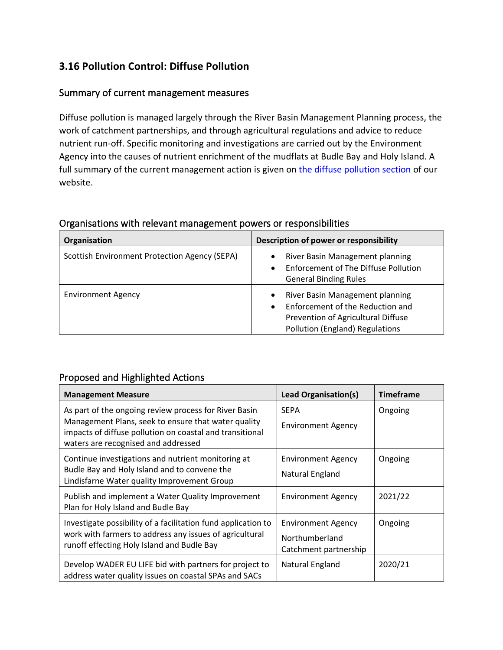### **3.16 Pollution Control: Diffuse Pollution**

### Summary of current management measures

Diffuse pollution is managed largely through the River Basin Management Planning process, the work of catchment partnerships, and through agricultural regulations and advice to reduce nutrient run-off. Specific monitoring and investigations are carried out by the Environment Agency into the causes of nutrient enrichment of the mudflats at Budle Bay and Holy Island. A full summary of the current management action is given on [the diffuse pollution section](https://www.xbordercurrents.co.uk/mpa-toolkit/mpas-in-our-area/diffuse-pollution/) of our website.

| Organisation                                  | Description of power or responsibility                                                                                                                                 |
|-----------------------------------------------|------------------------------------------------------------------------------------------------------------------------------------------------------------------------|
| Scottish Environment Protection Agency (SEPA) | River Basin Management planning<br>$\bullet$<br><b>Enforcement of The Diffuse Pollution</b><br>$\bullet$<br><b>General Binding Rules</b>                               |
| <b>Environment Agency</b>                     | River Basin Management planning<br>$\bullet$<br>Enforcement of the Reduction and<br>$\bullet$<br>Prevention of Agricultural Diffuse<br>Pollution (England) Regulations |

#### Organisations with relevant management powers or responsibilities

#### Proposed and Highlighted Actions

| <b>Management Measure</b>                                                                                                                                                                                       | <b>Lead Organisation(s)</b>                                          | <b>Timeframe</b> |
|-----------------------------------------------------------------------------------------------------------------------------------------------------------------------------------------------------------------|----------------------------------------------------------------------|------------------|
| As part of the ongoing review process for River Basin<br>Management Plans, seek to ensure that water quality<br>impacts of diffuse pollution on coastal and transitional<br>waters are recognised and addressed | <b>SEPA</b><br><b>Environment Agency</b>                             | Ongoing          |
| Continue investigations and nutrient monitoring at<br>Budle Bay and Holy Island and to convene the<br>Lindisfarne Water quality Improvement Group                                                               | <b>Environment Agency</b><br>Natural England                         | Ongoing          |
| Publish and implement a Water Quality Improvement<br>Plan for Holy Island and Budle Bay                                                                                                                         | <b>Environment Agency</b>                                            | 2021/22          |
| Investigate possibility of a facilitation fund application to<br>work with farmers to address any issues of agricultural<br>runoff effecting Holy Island and Budle Bay                                          | <b>Environment Agency</b><br>Northumberland<br>Catchment partnership | Ongoing          |
| Develop WADER EU LIFE bid with partners for project to<br>address water quality issues on coastal SPAs and SACs                                                                                                 | Natural England                                                      | 2020/21          |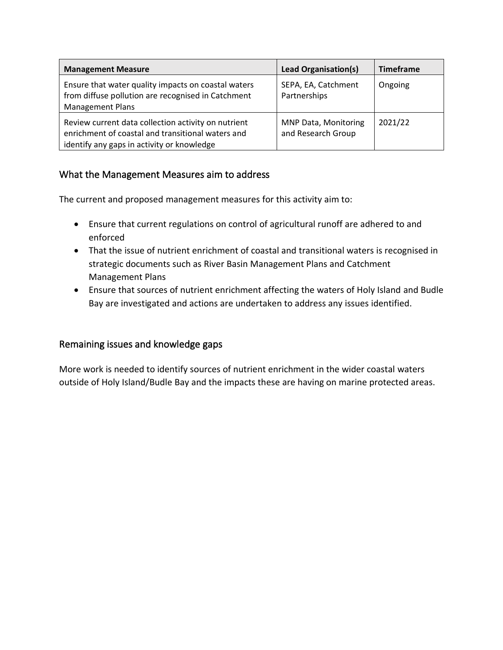| <b>Management Measure</b>                                                                                                                              | <b>Lead Organisation(s)</b>                | <b>Timeframe</b> |
|--------------------------------------------------------------------------------------------------------------------------------------------------------|--------------------------------------------|------------------|
| Ensure that water quality impacts on coastal waters<br>from diffuse pollution are recognised in Catchment<br><b>Management Plans</b>                   | SEPA, EA, Catchment<br>Partnerships        | Ongoing          |
| Review current data collection activity on nutrient<br>enrichment of coastal and transitional waters and<br>identify any gaps in activity or knowledge | MNP Data, Monitoring<br>and Research Group | 2021/22          |

### What the Management Measures aim to address

The current and proposed management measures for this activity aim to:

- Ensure that current regulations on control of agricultural runoff are adhered to and enforced
- That the issue of nutrient enrichment of coastal and transitional waters is recognised in strategic documents such as River Basin Management Plans and Catchment Management Plans
- Ensure that sources of nutrient enrichment affecting the waters of Holy Island and Budle Bay are investigated and actions are undertaken to address any issues identified.

### Remaining issues and knowledge gaps

More work is needed to identify sources of nutrient enrichment in the wider coastal waters outside of Holy Island/Budle Bay and the impacts these are having on marine protected areas.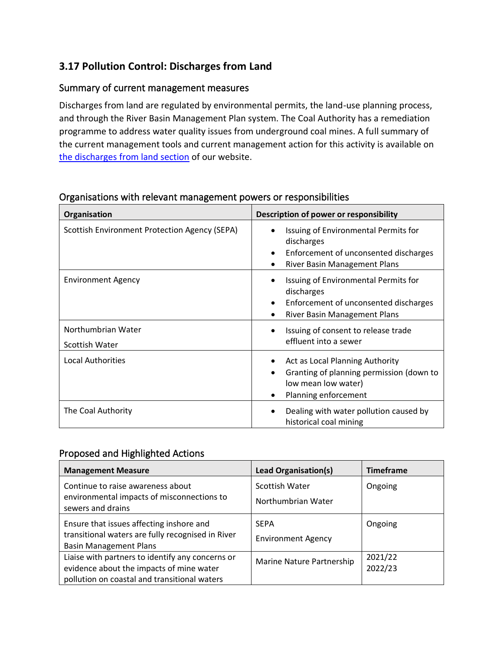### **3.17 Pollution Control: Discharges from Land**

### Summary of current management measures

Discharges from land are regulated by environmental permits, the land-use planning process, and through the River Basin Management Plan system. The Coal Authority has a remediation programme to address water quality issues from underground coal mines. A full summary of the current management tools and current management action for this activity is available on [the discharges from land section](https://www.xbordercurrents.co.uk/mpa-toolkit/mpas-in-our-area/discharges-from-land/) of our website.

| Organisation                                  | Description of power or responsibility                                                                                                                |  |
|-----------------------------------------------|-------------------------------------------------------------------------------------------------------------------------------------------------------|--|
| Scottish Environment Protection Agency (SEPA) | Issuing of Environmental Permits for<br>$\bullet$<br>discharges<br>Enforcement of unconsented discharges<br>$\bullet$<br>River Basin Management Plans |  |
| <b>Environment Agency</b>                     | Issuing of Environmental Permits for<br>discharges<br>Enforcement of unconsented discharges<br>$\bullet$<br>River Basin Management Plans<br>$\bullet$ |  |
| Northumbrian Water<br>Scottish Water          | Issuing of consent to release trade<br>$\bullet$<br>effluent into a sewer                                                                             |  |
| <b>Local Authorities</b>                      | Act as Local Planning Authority<br>Granting of planning permission (down to<br>٠<br>low mean low water)<br>Planning enforcement                       |  |
| The Coal Authority                            | Dealing with water pollution caused by<br>historical coal mining                                                                                      |  |

### Organisations with relevant management powers or responsibilities

### Proposed and Highlighted Actions

| <b>Management Measure</b>                                                                                                                    | <b>Lead Organisation(s)</b>              | <b>Timeframe</b>   |
|----------------------------------------------------------------------------------------------------------------------------------------------|------------------------------------------|--------------------|
| Continue to raise awareness about<br>environmental impacts of misconnections to<br>sewers and drains                                         | Scottish Water<br>Northumbrian Water     | Ongoing            |
| Ensure that issues affecting inshore and<br>transitional waters are fully recognised in River<br><b>Basin Management Plans</b>               | <b>SEPA</b><br><b>Environment Agency</b> | Ongoing            |
| Liaise with partners to identify any concerns or<br>evidence about the impacts of mine water<br>pollution on coastal and transitional waters | Marine Nature Partnership                | 2021/22<br>2022/23 |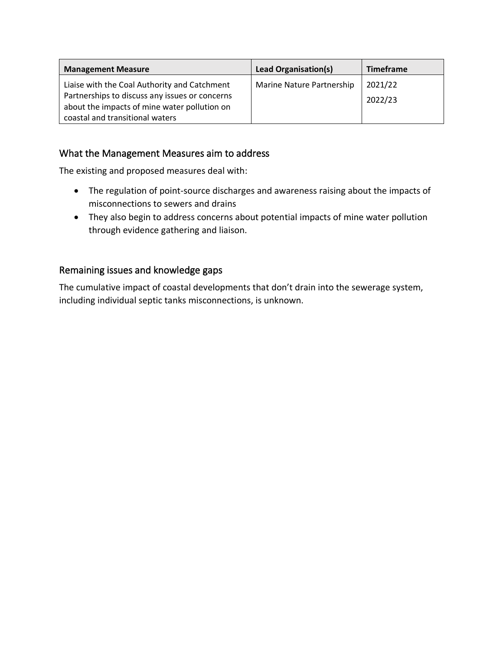| <b>Management Measure</b>                                                                                                                                                         | Lead Organisation(s)      | <b>Timeframe</b>   |
|-----------------------------------------------------------------------------------------------------------------------------------------------------------------------------------|---------------------------|--------------------|
| Liaise with the Coal Authority and Catchment<br>Partnerships to discuss any issues or concerns<br>about the impacts of mine water pollution on<br>coastal and transitional waters | Marine Nature Partnership | 2021/22<br>2022/23 |

### What the Management Measures aim to address

The existing and proposed measures deal with:

- The regulation of point-source discharges and awareness raising about the impacts of misconnections to sewers and drains
- They also begin to address concerns about potential impacts of mine water pollution through evidence gathering and liaison.

### Remaining issues and knowledge gaps

The cumulative impact of coastal developments that don't drain into the sewerage system, including individual septic tanks misconnections, is unknown.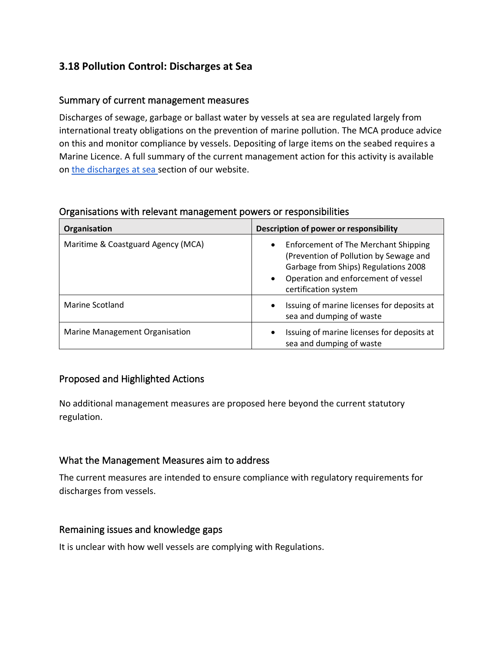### **3.18 Pollution Control: Discharges at Sea**

### Summary of current management measures

Discharges of sewage, garbage or ballast water by vessels at sea are regulated largely from international treaty obligations on the prevention of marine pollution. The MCA produce advice on this and monitor compliance by vessels. Depositing of large items on the seabed requires a Marine Licence. A full summary of the current management action for this activity is available on [the discharges at sea](https://www.xbordercurrents.co.uk/mpa-toolkit/mpas-in-our-area/discharges-at-sea/) section of our website.

#### Organisations with relevant management powers or responsibilities

| Organisation                       | Description of power or responsibility                                                                                                                                                                                 |
|------------------------------------|------------------------------------------------------------------------------------------------------------------------------------------------------------------------------------------------------------------------|
| Maritime & Coastguard Agency (MCA) | <b>Enforcement of The Merchant Shipping</b><br>$\bullet$<br>(Prevention of Pollution by Sewage and<br>Garbage from Ships) Regulations 2008<br>Operation and enforcement of vessel<br>$\bullet$<br>certification system |
| Marine Scotland                    | Issuing of marine licenses for deposits at<br>$\bullet$<br>sea and dumping of waste                                                                                                                                    |
| Marine Management Organisation     | Issuing of marine licenses for deposits at<br>$\bullet$<br>sea and dumping of waste                                                                                                                                    |

#### Proposed and Highlighted Actions

No additional management measures are proposed here beyond the current statutory regulation.

### What the Management Measures aim to address

The current measures are intended to ensure compliance with regulatory requirements for discharges from vessels.

#### Remaining issues and knowledge gaps

It is unclear with how well vessels are complying with Regulations.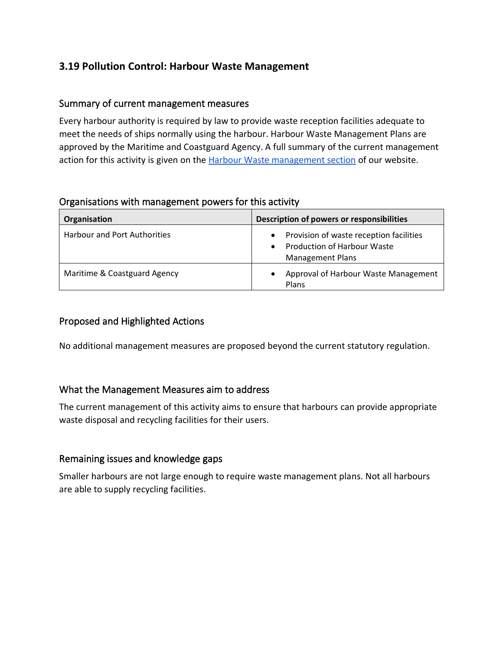### **3.19 Pollution Control: Harbour Waste Management**

### Summary of current management measures

Every harbour authority is required by law to provide waste reception facilities adequate to meet the needs of ships normally using the harbour. Harbour Waste Management Plans are approved by the Maritime and Coastguard Agency. A full summary of the current management action for this activity is given on th[e Harbour Waste management section](https://www.xbordercurrents.co.uk/mpa-toolkit/mpas-in-our-area/harbour-waste-management/) of our website.

#### Organisations with management powers for this activity

| Organisation                        | Description of powers or responsibilities                                                                                          |
|-------------------------------------|------------------------------------------------------------------------------------------------------------------------------------|
| <b>Harbour and Port Authorities</b> | Provision of waste reception facilities<br>$\bullet$<br><b>Production of Harbour Waste</b><br>$\bullet$<br><b>Management Plans</b> |
| Maritime & Coastguard Agency        | Approval of Harbour Waste Management<br>Plans                                                                                      |

### Proposed and Highlighted Actions

No additional management measures are proposed beyond the current statutory regulation.

### What the Management Measures aim to address

The current management of this activity aims to ensure that harbours can provide appropriate waste disposal and recycling facilities for their users.

### Remaining issues and knowledge gaps

Smaller harbours are not large enough to require waste management plans. Not all harbours are able to supply recycling facilities.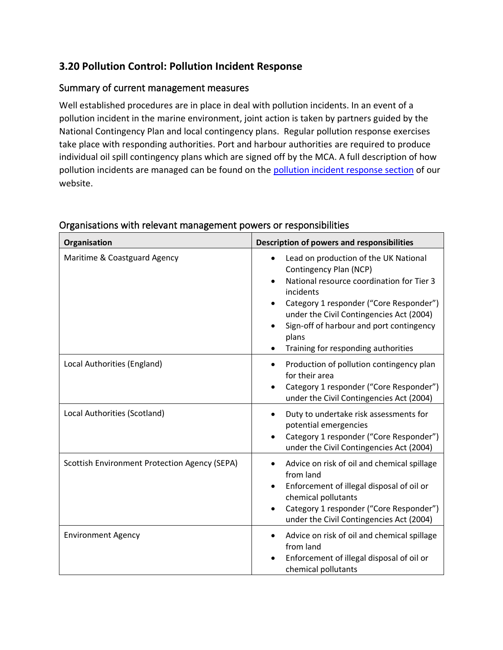### **3.20 Pollution Control: Pollution Incident Response**

### Summary of current management measures

Well established procedures are in place in deal with pollution incidents. In an event of a pollution incident in the marine environment, joint action is taken by partners guided by the National Contingency Plan and local contingency plans. Regular pollution response exercises take place with responding authorities. Port and harbour authorities are required to produce individual oil spill contingency plans which are signed off by the MCA. A full description of how pollution incidents are managed can be found on the [pollution incident response section](https://www.xbordercurrents.co.uk/mpa-toolkit/mpas-in-our-area/pollution-incidence-response/) of our website.

| Organisation                                  | <b>Description of powers and responsibilities</b>                                                                                                                                                                                                                                                                                      |  |  |
|-----------------------------------------------|----------------------------------------------------------------------------------------------------------------------------------------------------------------------------------------------------------------------------------------------------------------------------------------------------------------------------------------|--|--|
| Maritime & Coastguard Agency                  | Lead on production of the UK National<br>Contingency Plan (NCP)<br>National resource coordination for Tier 3<br>incidents<br>Category 1 responder ("Core Responder")<br>$\bullet$<br>under the Civil Contingencies Act (2004)<br>Sign-off of harbour and port contingency<br>$\bullet$<br>plans<br>Training for responding authorities |  |  |
| Local Authorities (England)                   | Production of pollution contingency plan<br>$\bullet$<br>for their area<br>Category 1 responder ("Core Responder")<br>under the Civil Contingencies Act (2004)                                                                                                                                                                         |  |  |
| Local Authorities (Scotland)                  | Duty to undertake risk assessments for<br>$\bullet$<br>potential emergencies<br>Category 1 responder ("Core Responder")<br>under the Civil Contingencies Act (2004)                                                                                                                                                                    |  |  |
| Scottish Environment Protection Agency (SEPA) | Advice on risk of oil and chemical spillage<br>from land<br>Enforcement of illegal disposal of oil or<br>chemical pollutants<br>Category 1 responder ("Core Responder")<br>under the Civil Contingencies Act (2004)                                                                                                                    |  |  |
| <b>Environment Agency</b>                     | Advice on risk of oil and chemical spillage<br>from land<br>Enforcement of illegal disposal of oil or<br>chemical pollutants                                                                                                                                                                                                           |  |  |

#### Organisations with relevant management powers or responsibilities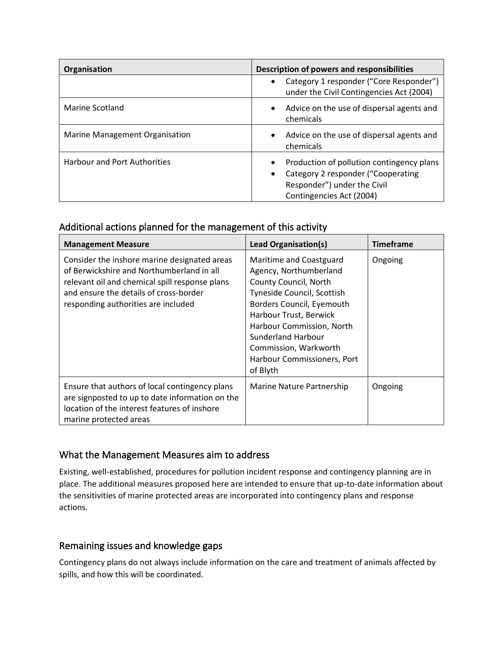| Organisation                        | Description of powers and responsibilities                                                                                                                           |  |  |
|-------------------------------------|----------------------------------------------------------------------------------------------------------------------------------------------------------------------|--|--|
|                                     | Category 1 responder ("Core Responder")<br>$\bullet$<br>under the Civil Contingencies Act (2004)                                                                     |  |  |
| Marine Scotland                     | Advice on the use of dispersal agents and<br>$\bullet$<br>chemicals                                                                                                  |  |  |
| Marine Management Organisation      | Advice on the use of dispersal agents and<br>$\bullet$<br>chemicals                                                                                                  |  |  |
| <b>Harbour and Port Authorities</b> | Production of pollution contingency plans<br>$\bullet$<br>Category 2 responder ("Cooperating<br>$\bullet$<br>Responder") under the Civil<br>Contingencies Act (2004) |  |  |

### Additional actions planned for the management of this activity

| <b>Management Measure</b>                                                                                                                                                                                                    | Lead Organisation(s)                                                                                                                                                                                                                                                                   | <b>Timeframe</b> |
|------------------------------------------------------------------------------------------------------------------------------------------------------------------------------------------------------------------------------|----------------------------------------------------------------------------------------------------------------------------------------------------------------------------------------------------------------------------------------------------------------------------------------|------------------|
| Consider the inshore marine designated areas<br>of Berwickshire and Northumberland in all<br>relevant oil and chemical spill response plans<br>and ensure the details of cross-border<br>responding authorities are included | Maritime and Coastguard<br>Agency, Northumberland<br>County Council, North<br>Tyneside Council, Scottish<br>Borders Council, Eyemouth<br>Harbour Trust, Berwick<br>Harbour Commission, North<br>Sunderland Harbour<br>Commission, Warkworth<br>Harbour Commissioners, Port<br>of Blyth | Ongoing          |
| Ensure that authors of local contingency plans<br>are signposted to up to date information on the<br>location of the interest features of inshore<br>marine protected areas                                                  | Marine Nature Partnership                                                                                                                                                                                                                                                              | Ongoing          |

### What the Management Measures aim to address

Existing, well-established, procedures for pollution incident response and contingency planning are in place. The additional measures proposed here are intended to ensure that up-to-date information about the sensitivities of marine protected areas are incorporated into contingency plans and response actions.

### Remaining issues and knowledge gaps

Contingency plans do not always include information on the care and treatment of animals affected by spills, and how this will be coordinated.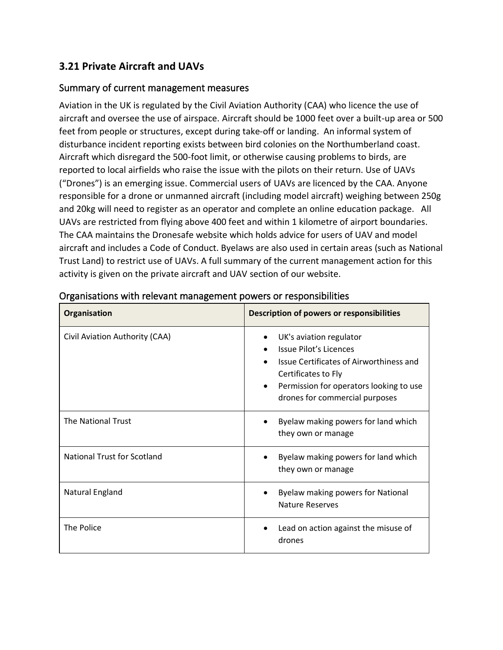### **3.21 Private Aircraft and UAVs**

### Summary of current management measures

Aviation in the UK is regulated by the Civil Aviation Authority (CAA) who licence the use of aircraft and oversee the use of airspace. Aircraft should be 1000 feet over a built-up area or 500 feet from people or structures, except during take-off or landing. An informal system of disturbance incident reporting exists between bird colonies on the Northumberland coast. Aircraft which disregard the 500-foot limit, or otherwise causing problems to birds, are reported to local airfields who raise the issue with the pilots on their return. Use of UAVs ("Drones") is an emerging issue. Commercial users of UAVs are licenced by the CAA. Anyone responsible for a drone or unmanned aircraft (including model aircraft) weighing between 250g and 20kg will need to register as an operator and complete an online education package. All UAVs are restricted from flying above 400 feet and within 1 kilometre of airport boundaries. The CAA maintains the Dronesafe website which holds advice for users of UAV and model aircraft and includes a Code of Conduct. Byelaws are also used in certain areas (such as National Trust Land) to restrict use of UAVs. A full summary of the current management action for this activity is given on the private aircraft and UAV section of our website.

| Organisation                       | <b>Description of powers or responsibilities</b>                                                                                                                                                              |  |  |
|------------------------------------|---------------------------------------------------------------------------------------------------------------------------------------------------------------------------------------------------------------|--|--|
| Civil Aviation Authority (CAA)     | UK's aviation regulator<br>Issue Pilot's Licences<br>Issue Certificates of Airworthiness and<br>Certificates to Fly<br>Permission for operators looking to use<br>$\bullet$<br>drones for commercial purposes |  |  |
| <b>The National Trust</b>          | Byelaw making powers for land which<br>they own or manage                                                                                                                                                     |  |  |
| <b>National Trust for Scotland</b> | Byelaw making powers for land which<br>they own or manage                                                                                                                                                     |  |  |
| Natural England                    | Byelaw making powers for National<br><b>Nature Reserves</b>                                                                                                                                                   |  |  |
| The Police                         | Lead on action against the misuse of<br>drones                                                                                                                                                                |  |  |

#### Organisations with relevant management powers or responsibilities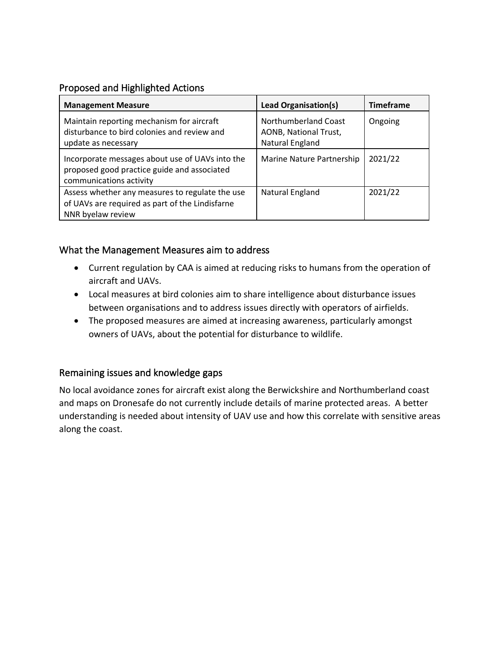### Proposed and Highlighted Actions

| <b>Management Measure</b>                                                                                                 | Lead Organisation(s)                                             | <b>Timeframe</b> |
|---------------------------------------------------------------------------------------------------------------------------|------------------------------------------------------------------|------------------|
| Maintain reporting mechanism for aircraft<br>disturbance to bird colonies and review and<br>update as necessary           | Northumberland Coast<br>AONB, National Trust,<br>Natural England | Ongoing          |
| Incorporate messages about use of UAVs into the<br>proposed good practice guide and associated<br>communications activity | Marine Nature Partnership                                        | 2021/22          |
| Assess whether any measures to regulate the use<br>of UAVs are required as part of the Lindisfarne<br>NNR byelaw review   | Natural England                                                  | 2021/22          |

### What the Management Measures aim to address

- Current regulation by CAA is aimed at reducing risks to humans from the operation of aircraft and UAVs.
- Local measures at bird colonies aim to share intelligence about disturbance issues between organisations and to address issues directly with operators of airfields.
- The proposed measures are aimed at increasing awareness, particularly amongst owners of UAVs, about the potential for disturbance to wildlife.

### Remaining issues and knowledge gaps

No local avoidance zones for aircraft exist along the Berwickshire and Northumberland coast and maps on Dronesafe do not currently include details of marine protected areas. A better understanding is needed about intensity of UAV use and how this correlate with sensitive areas along the coast.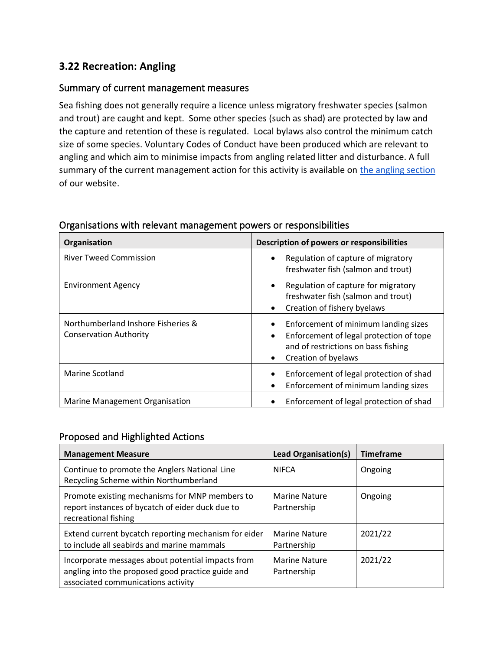### **3.22 Recreation: Angling**

### Summary of current management measures

Sea fishing does not generally require a licence unless migratory freshwater species (salmon and trout) are caught and kept. Some other species (such as shad) are protected by law and the capture and retention of these is regulated. Local bylaws also control the minimum catch size of some species. Voluntary Codes of Conduct have been produced which are relevant to angling and which aim to minimise impacts from angling related litter and disturbance. A full summary of the current management action for this activity is available on the angling section of our website.

| Organisation                                                        | Description of powers or responsibilities                                                                                                                               |  |  |
|---------------------------------------------------------------------|-------------------------------------------------------------------------------------------------------------------------------------------------------------------------|--|--|
| <b>River Tweed Commission</b>                                       | Regulation of capture of migratory<br>$\bullet$<br>freshwater fish (salmon and trout)                                                                                   |  |  |
| <b>Environment Agency</b>                                           | Regulation of capture for migratory<br>freshwater fish (salmon and trout)<br>Creation of fishery byelaws                                                                |  |  |
| Northumberland Inshore Fisheries &<br><b>Conservation Authority</b> | Enforcement of minimum landing sizes<br>Enforcement of legal protection of tope<br>$\bullet$<br>and of restrictions on bass fishing<br>Creation of byelaws<br>$\bullet$ |  |  |
| Marine Scotland                                                     | Enforcement of legal protection of shad<br>Enforcement of minimum landing sizes                                                                                         |  |  |
| Marine Management Organisation                                      | Enforcement of legal protection of shad                                                                                                                                 |  |  |

#### Organisations with relevant management powers or responsibilities

### Proposed and Highlighted Actions

| <b>Management Measure</b>                                                                                                                    | Lead Organisation(s)                | <b>Timeframe</b> |
|----------------------------------------------------------------------------------------------------------------------------------------------|-------------------------------------|------------------|
| Continue to promote the Anglers National Line<br>Recycling Scheme within Northumberland                                                      | <b>NIFCA</b>                        | Ongoing          |
| Promote existing mechanisms for MNP members to<br>report instances of bycatch of eider duck due to<br>recreational fishing                   | <b>Marine Nature</b><br>Partnership | Ongoing          |
| Extend current bycatch reporting mechanism for eider<br>to include all seabirds and marine mammals                                           | <b>Marine Nature</b><br>Partnership | 2021/22          |
| Incorporate messages about potential impacts from<br>angling into the proposed good practice guide and<br>associated communications activity | <b>Marine Nature</b><br>Partnership | 2021/22          |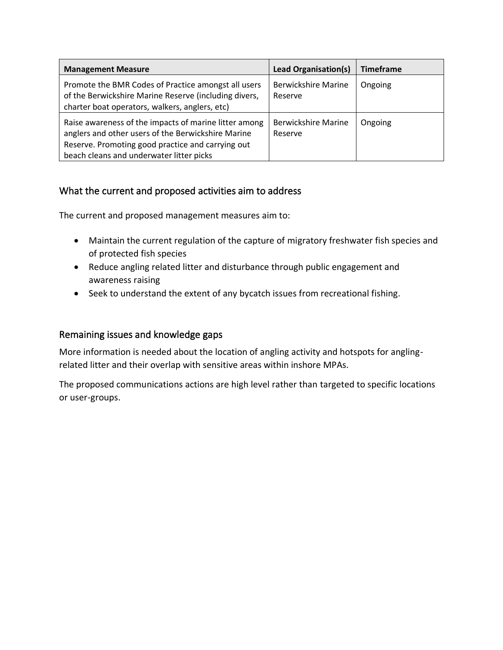| <b>Management Measure</b>                                                                                                                                                                                    | Lead Organisation(s)                  | <b>Timeframe</b> |
|--------------------------------------------------------------------------------------------------------------------------------------------------------------------------------------------------------------|---------------------------------------|------------------|
| Promote the BMR Codes of Practice amongst all users<br>of the Berwickshire Marine Reserve (including divers,<br>charter boat operators, walkers, anglers, etc)                                               | <b>Berwickshire Marine</b><br>Reserve | Ongoing          |
| Raise awareness of the impacts of marine litter among<br>anglers and other users of the Berwickshire Marine<br>Reserve. Promoting good practice and carrying out<br>beach cleans and underwater litter picks | <b>Berwickshire Marine</b><br>Reserve | Ongoing          |

### What the current and proposed activities aim to address

The current and proposed management measures aim to:

- Maintain the current regulation of the capture of migratory freshwater fish species and of protected fish species
- Reduce angling related litter and disturbance through public engagement and awareness raising
- Seek to understand the extent of any bycatch issues from recreational fishing.

### Remaining issues and knowledge gaps

More information is needed about the location of angling activity and hotspots for anglingrelated litter and their overlap with sensitive areas within inshore MPAs.

The proposed communications actions are high level rather than targeted to specific locations or user-groups.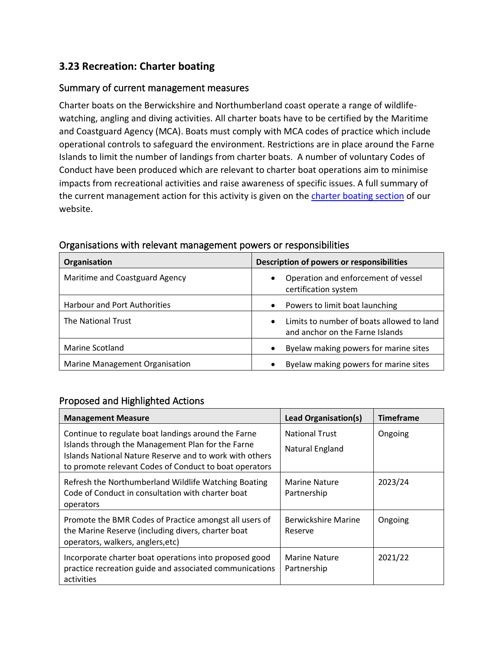### **3.23 Recreation: Charter boating**

### Summary of current management measures

Charter boats on the Berwickshire and Northumberland coast operate a range of wildlifewatching, angling and diving activities. All charter boats have to be certified by the Maritime and Coastguard Agency (MCA). Boats must comply with MCA codes of practice which include operational controls to safeguard the environment. Restrictions are in place around the Farne Islands to limit the number of landings from charter boats. A number of voluntary Codes of Conduct have been produced which are relevant to charter boat operations aim to minimise impacts from recreational activities and raise awareness of specific issues. A full summary of the current management action for this activity is given on the [charter boating section](https://www.xbordercurrents.co.uk/mpa-toolkit/mpas-in-our-area/charter_boats/) of our website.

| <b>Organisation</b>                 | Description of powers or responsibilities                                                 |  |
|-------------------------------------|-------------------------------------------------------------------------------------------|--|
| Maritime and Coastguard Agency      | Operation and enforcement of vessel<br>$\bullet$<br>certification system                  |  |
| <b>Harbour and Port Authorities</b> | Powers to limit boat launching<br>$\bullet$                                               |  |
| The National Trust                  | Limits to number of boats allowed to land<br>$\bullet$<br>and anchor on the Farne Islands |  |
| Marine Scotland                     | Byelaw making powers for marine sites                                                     |  |
| Marine Management Organisation      | Byelaw making powers for marine sites                                                     |  |

#### Organisations with relevant management powers or responsibilities

### Proposed and Highlighted Actions

| <b>Management Measure</b>                                                                                                                                                                                                     | <b>Lead Organisation(s)</b>              | <b>Timeframe</b> |
|-------------------------------------------------------------------------------------------------------------------------------------------------------------------------------------------------------------------------------|------------------------------------------|------------------|
| Continue to regulate boat landings around the Farne<br>Islands through the Management Plan for the Farne<br>Islands National Nature Reserve and to work with others<br>to promote relevant Codes of Conduct to boat operators | <b>National Trust</b><br>Natural England | Ongoing          |
| Refresh the Northumberland Wildlife Watching Boating<br>Code of Conduct in consultation with charter boat<br>operators                                                                                                        | <b>Marine Nature</b><br>Partnership      | 2023/24          |
| Promote the BMR Codes of Practice amongst all users of<br>the Marine Reserve (including divers, charter boat<br>operators, walkers, anglers, etc)                                                                             | Berwickshire Marine<br>Reserve           | Ongoing          |
| Incorporate charter boat operations into proposed good<br>practice recreation guide and associated communications<br>activities                                                                                               | Marine Nature<br>Partnership             | 2021/22          |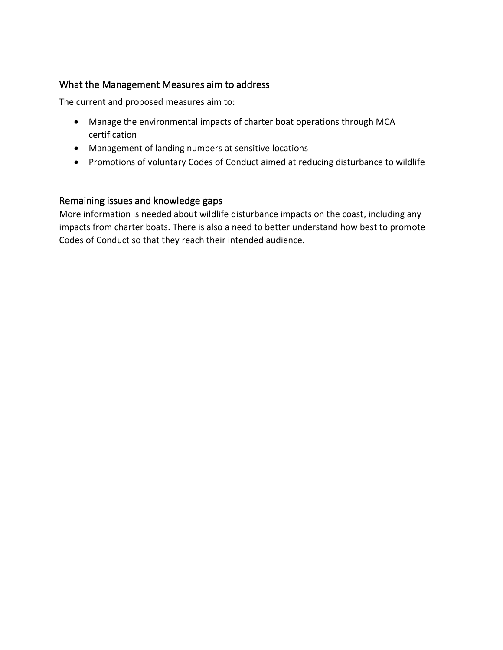### What the Management Measures aim to address

The current and proposed measures aim to:

- Manage the environmental impacts of charter boat operations through MCA certification
- Management of landing numbers at sensitive locations
- Promotions of voluntary Codes of Conduct aimed at reducing disturbance to wildlife

### Remaining issues and knowledge gaps

More information is needed about wildlife disturbance impacts on the coast, including any impacts from charter boats. There is also a need to better understand how best to promote Codes of Conduct so that they reach their intended audience.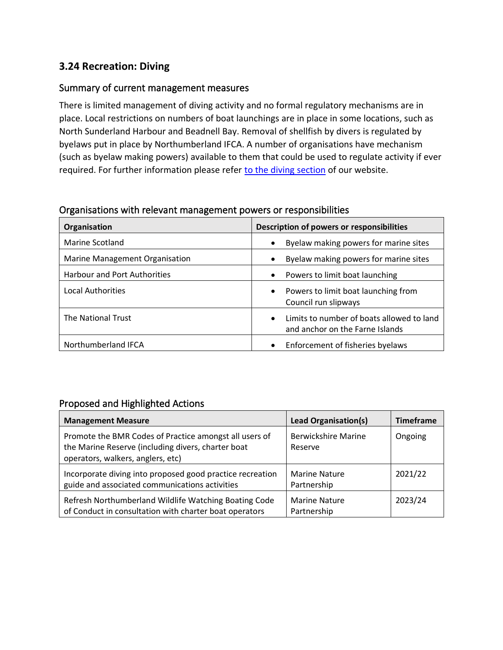### **3.24 Recreation: Diving**

### Summary of current management measures

There is limited management of diving activity and no formal regulatory mechanisms are in place. Local restrictions on numbers of boat launchings are in place in some locations, such as North Sunderland Harbour and Beadnell Bay. Removal of shellfish by divers is regulated by byelaws put in place by Northumberland IFCA. A number of organisations have mechanism (such as byelaw making powers) available to them that could be used to regulate activity if ever required. For further information please refer [to the diving section](https://www.xbordercurrents.co.uk/mpa-toolkit/mpas-in-our-area/diving/) of our website.

#### Organisations with relevant management powers or responsibilities

| Organisation                        | Description of powers or responsibilities                                                 |  |  |
|-------------------------------------|-------------------------------------------------------------------------------------------|--|--|
| Marine Scotland                     | Byelaw making powers for marine sites<br>$\bullet$                                        |  |  |
| Marine Management Organisation      | Byelaw making powers for marine sites<br>$\bullet$                                        |  |  |
| <b>Harbour and Port Authorities</b> | Powers to limit boat launching<br>$\bullet$                                               |  |  |
| <b>Local Authorities</b>            | Powers to limit boat launching from<br>$\bullet$<br>Council run slipways                  |  |  |
| The National Trust                  | Limits to number of boats allowed to land<br>$\bullet$<br>and anchor on the Farne Islands |  |  |
| Northumberland IFCA                 | Enforcement of fisheries byelaws<br>$\bullet$                                             |  |  |

### Proposed and Highlighted Actions

| <b>Management Measure</b>                                                                                                                         | <b>Lead Organisation(s)</b>           | <b>Timeframe</b> |
|---------------------------------------------------------------------------------------------------------------------------------------------------|---------------------------------------|------------------|
| Promote the BMR Codes of Practice amongst all users of<br>the Marine Reserve (including divers, charter boat<br>operators, walkers, anglers, etc) | <b>Berwickshire Marine</b><br>Reserve | Ongoing          |
| Incorporate diving into proposed good practice recreation<br>guide and associated communications activities                                       | <b>Marine Nature</b><br>Partnership   | 2021/22          |
| Refresh Northumberland Wildlife Watching Boating Code<br>of Conduct in consultation with charter boat operators                                   | <b>Marine Nature</b><br>Partnership   | 2023/24          |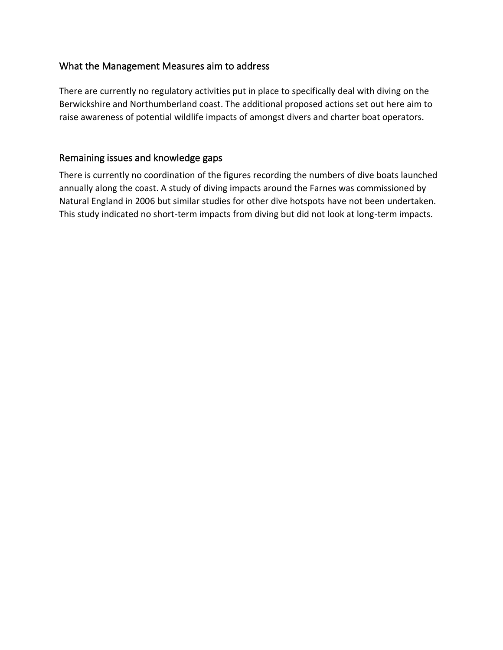### What the Management Measures aim to address

There are currently no regulatory activities put in place to specifically deal with diving on the Berwickshire and Northumberland coast. The additional proposed actions set out here aim to raise awareness of potential wildlife impacts of amongst divers and charter boat operators.

### Remaining issues and knowledge gaps

There is currently no coordination of the figures recording the numbers of dive boats launched annually along the coast. A study of diving impacts around the Farnes was commissioned by Natural England in 2006 but similar studies for other dive hotspots have not been undertaken. This study indicated no short-term impacts from diving but did not look at long-term impacts.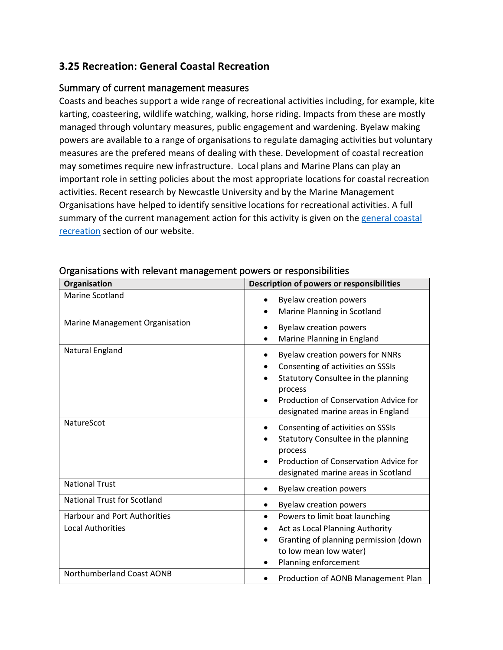### **3.25 Recreation: General Coastal Recreation**

#### Summary of current management measures

Coasts and beaches support a wide range of recreational activities including, for example, kite karting, coasteering, wildlife watching, walking, horse riding. Impacts from these are mostly managed through voluntary measures, public engagement and wardening. Byelaw making powers are available to a range of organisations to regulate damaging activities but voluntary measures are the prefered means of dealing with these. Development of coastal recreation may sometimes require new infrastructure. Local plans and Marine Plans can play an important role in setting policies about the most appropriate locations for coastal recreation activities. Recent research by Newcastle University and by the Marine Management Organisations have helped to identify sensitive locations for recreational activities. A full summary of the current management action for this activity is given on the [general coastal](https://www.xbordercurrents.co.uk/mpa-toolkit/mpas-in-our-area/recreation/)  [recreation](https://www.xbordercurrents.co.uk/mpa-toolkit/mpas-in-our-area/recreation/) section of our website.

| Organisation                        | Description of powers or responsibilities                                                                                                                                                             |  |
|-------------------------------------|-------------------------------------------------------------------------------------------------------------------------------------------------------------------------------------------------------|--|
| <b>Marine Scotland</b>              | <b>Byelaw creation powers</b><br>Marine Planning in Scotland                                                                                                                                          |  |
| Marine Management Organisation      | <b>Byelaw creation powers</b><br>Marine Planning in England                                                                                                                                           |  |
| Natural England                     | Byelaw creation powers for NNRs<br>Consenting of activities on SSSIs<br>Statutory Consultee in the planning<br>process<br>Production of Conservation Advice for<br>designated marine areas in England |  |
| NatureScot                          | Consenting of activities on SSSIs<br>Statutory Consultee in the planning<br>process<br>Production of Conservation Advice for<br>designated marine areas in Scotland                                   |  |
| <b>National Trust</b>               | <b>Byelaw creation powers</b>                                                                                                                                                                         |  |
| <b>National Trust for Scotland</b>  | <b>Byelaw creation powers</b>                                                                                                                                                                         |  |
| <b>Harbour and Port Authorities</b> | Powers to limit boat launching<br>$\bullet$                                                                                                                                                           |  |
| <b>Local Authorities</b>            | Act as Local Planning Authority<br>٠<br>Granting of planning permission (down<br>to low mean low water)<br>Planning enforcement                                                                       |  |
| Northumberland Coast AONB           | Production of AONB Management Plan                                                                                                                                                                    |  |

Organisations with relevant management powers or responsibilities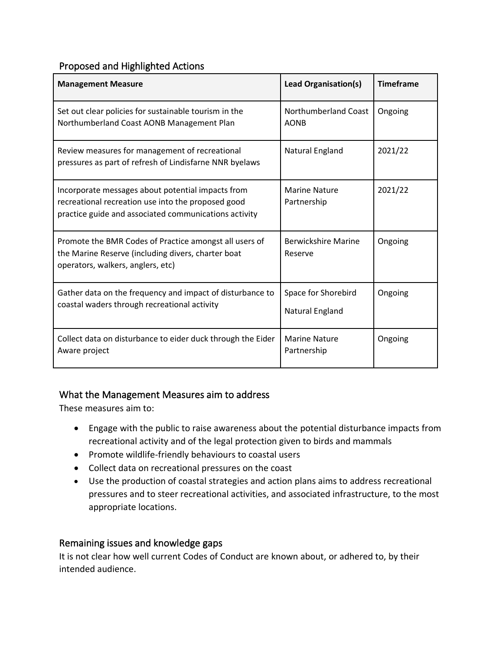### Proposed and Highlighted Actions

| <b>Management Measure</b>                                                                                                                                        | <b>Lead Organisation(s)</b>            | <b>Timeframe</b> |
|------------------------------------------------------------------------------------------------------------------------------------------------------------------|----------------------------------------|------------------|
| Set out clear policies for sustainable tourism in the<br>Northumberland Coast AONB Management Plan                                                               | Northumberland Coast<br><b>AONB</b>    | Ongoing          |
| Review measures for management of recreational<br>pressures as part of refresh of Lindisfarne NNR byelaws                                                        | Natural England                        | 2021/22          |
| Incorporate messages about potential impacts from<br>recreational recreation use into the proposed good<br>practice guide and associated communications activity | <b>Marine Nature</b><br>Partnership    | 2021/22          |
| Promote the BMR Codes of Practice amongst all users of<br>the Marine Reserve (including divers, charter boat<br>operators, walkers, anglers, etc)                | <b>Berwickshire Marine</b><br>Reserve  | Ongoing          |
| Gather data on the frequency and impact of disturbance to<br>coastal waders through recreational activity                                                        | Space for Shorebird<br>Natural England | Ongoing          |
| Collect data on disturbance to eider duck through the Eider<br>Aware project                                                                                     | <b>Marine Nature</b><br>Partnership    | Ongoing          |

### What the Management Measures aim to address

These measures aim to:

- Engage with the public to raise awareness about the potential disturbance impacts from recreational activity and of the legal protection given to birds and mammals
- Promote wildlife-friendly behaviours to coastal users
- Collect data on recreational pressures on the coast
- Use the production of coastal strategies and action plans aims to address recreational pressures and to steer recreational activities, and associated infrastructure, to the most appropriate locations.

### Remaining issues and knowledge gaps

It is not clear how well current Codes of Conduct are known about, or adhered to, by their intended audience.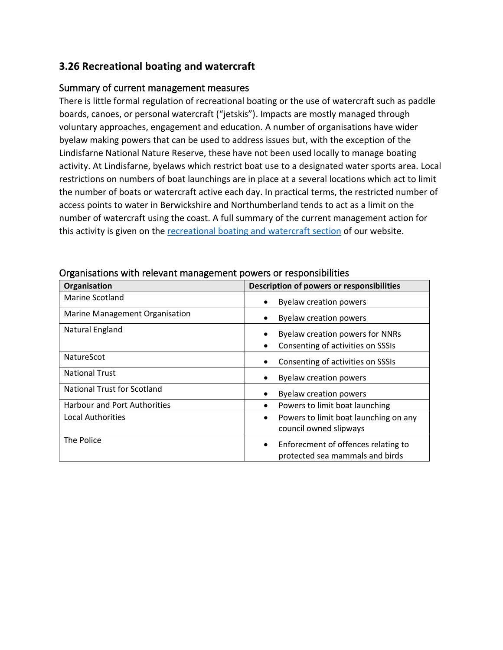### **3.26 Recreational boating and watercraft**

### Summary of current management measures

There is little formal regulation of recreational boating or the use of watercraft such as paddle boards, canoes, or personal watercraft ("jetskis"). Impacts are mostly managed through voluntary approaches, engagement and education. A number of organisations have wider byelaw making powers that can be used to address issues but, with the exception of the Lindisfarne National Nature Reserve, these have not been used locally to manage boating activity. At Lindisfarne, byelaws which restrict boat use to a designated water sports area. Local restrictions on numbers of boat launchings are in place at a several locations which act to limit the number of boats or watercraft active each day. In practical terms, the restricted number of access points to water in Berwickshire and Northumberland tends to act as a limit on the number of watercraft using the coast. A full summary of the current management action for this activity is given on th[e recreational boating and watercraft section](https://www.xbordercurrents.co.uk/mpa-toolkit/mpas-in-our-area/recreation/) of our website.

| Organisation                        | Description of powers or responsibilities                                   |
|-------------------------------------|-----------------------------------------------------------------------------|
| Marine Scotland                     | <b>Byelaw creation powers</b>                                               |
| Marine Management Organisation      | <b>Byelaw creation powers</b>                                               |
| Natural England                     | <b>Byelaw creation powers for NNRs</b>                                      |
|                                     | Consenting of activities on SSSIs                                           |
| <b>NatureScot</b>                   | Consenting of activities on SSSIs                                           |
| <b>National Trust</b>               | <b>Byelaw creation powers</b>                                               |
| <b>National Trust for Scotland</b>  | <b>Byelaw creation powers</b>                                               |
| <b>Harbour and Port Authorities</b> | Powers to limit boat launching<br>$\bullet$                                 |
| <b>Local Authorities</b>            | Powers to limit boat launching on any<br>council owned slipways             |
| The Police                          | Enforecment of offences relating to<br>٠<br>protected sea mammals and birds |

Organisations with relevant management powers or responsibilities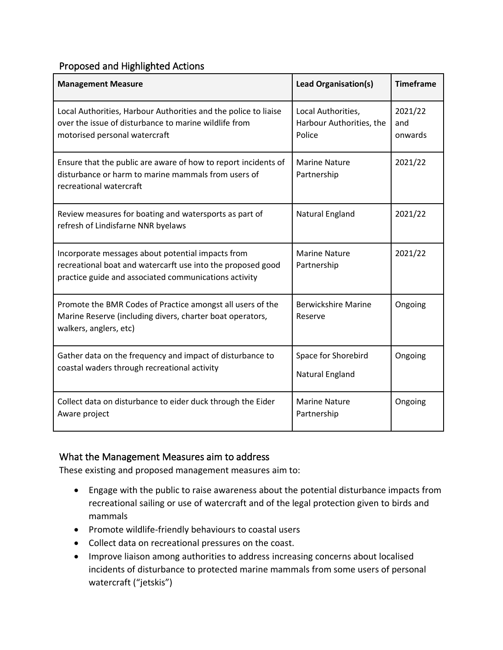### Proposed and Highlighted Actions

| <b>Management Measure</b>                                                                                                                                                 | <b>Lead Organisation(s)</b>                              | <b>Timeframe</b>          |
|---------------------------------------------------------------------------------------------------------------------------------------------------------------------------|----------------------------------------------------------|---------------------------|
| Local Authorities, Harbour Authorities and the police to liaise<br>over the issue of disturbance to marine wildlife from<br>motorised personal watercraft                 | Local Authorities,<br>Harbour Authorities, the<br>Police | 2021/22<br>and<br>onwards |
| Ensure that the public are aware of how to report incidents of<br>disturbance or harm to marine mammals from users of<br>recreational watercraft                          | <b>Marine Nature</b><br>Partnership                      | 2021/22                   |
| Review measures for boating and watersports as part of<br>refresh of Lindisfarne NNR byelaws                                                                              | Natural England                                          | 2021/22                   |
| Incorporate messages about potential impacts from<br>recreational boat and watercarft use into the proposed good<br>practice guide and associated communications activity | <b>Marine Nature</b><br>Partnership                      | 2021/22                   |
| Promote the BMR Codes of Practice amongst all users of the<br>Marine Reserve (including divers, charter boat operators,<br>walkers, anglers, etc)                         | <b>Berwickshire Marine</b><br>Reserve                    | Ongoing                   |
| Gather data on the frequency and impact of disturbance to<br>coastal waders through recreational activity                                                                 | Space for Shorebird<br>Natural England                   | Ongoing                   |
| Collect data on disturbance to eider duck through the Eider<br>Aware project                                                                                              | <b>Marine Nature</b><br>Partnership                      | Ongoing                   |

### What the Management Measures aim to address

These existing and proposed management measures aim to:

- Engage with the public to raise awareness about the potential disturbance impacts from recreational sailing or use of watercraft and of the legal protection given to birds and mammals
- Promote wildlife-friendly behaviours to coastal users
- Collect data on recreational pressures on the coast.
- Improve liaison among authorities to address increasing concerns about localised incidents of disturbance to protected marine mammals from some users of personal watercraft ("jetskis")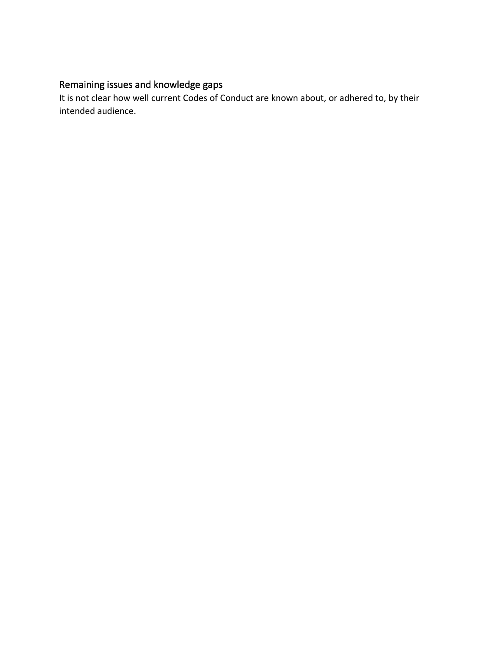# Remaining issues and knowledge gaps

It is not clear how well current Codes of Conduct are known about, or adhered to, by their intended audience.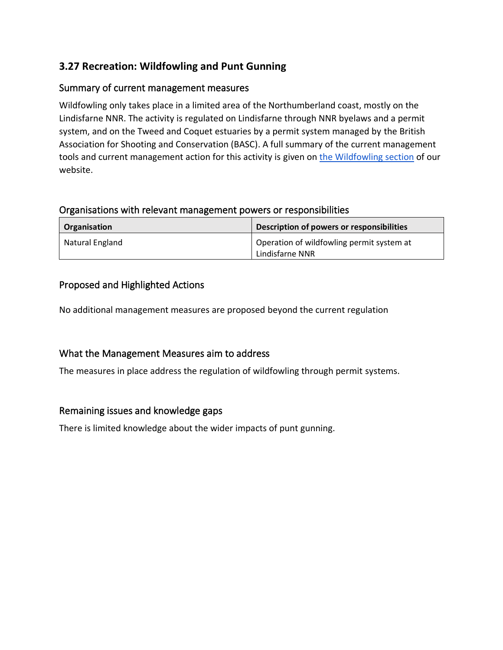### **3.27 Recreation: Wildfowling and Punt Gunning**

### Summary of current management measures

Wildfowling only takes place in a limited area of the Northumberland coast, mostly on the Lindisfarne NNR. The activity is regulated on Lindisfarne through NNR byelaws and a permit system, and on the Tweed and Coquet estuaries by a permit system managed by the British Association for Shooting and Conservation (BASC). A full summary of the current management tools and current management action for this activity is given on [the Wildfowling section](https://www.xbordercurrents.co.uk/mpa-toolkit/mpas-in-our-area/wildfowling-and-punt-gunning/) of our website.

#### Organisations with relevant management powers or responsibilities

| Organisation    | Description of powers or responsibilities |
|-----------------|-------------------------------------------|
| Natural England | Operation of wildfowling permit system at |
|                 | Lindisfarne NNR                           |

### Proposed and Highlighted Actions

No additional management measures are proposed beyond the current regulation

### What the Management Measures aim to address

The measures in place address the regulation of wildfowling through permit systems.

### Remaining issues and knowledge gaps

There is limited knowledge about the wider impacts of punt gunning.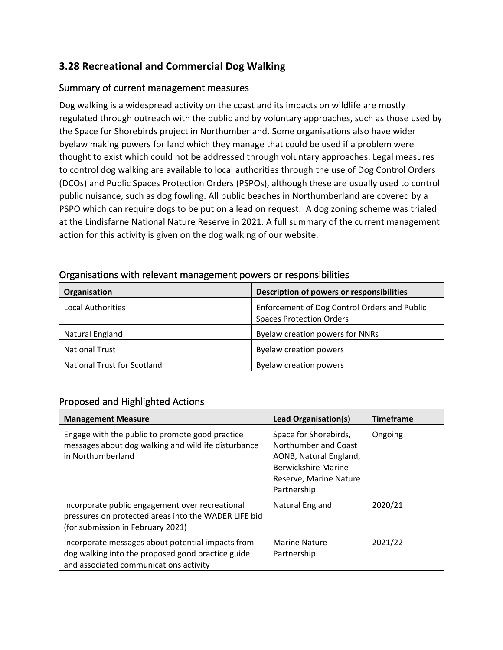### **3.28 Recreational and Commercial Dog Walking**

### Summary of current management measures

Dog walking is a widespread activity on the coast and its impacts on wildlife are mostly regulated through outreach with the public and by voluntary approaches, such as those used by the Space for Shorebirds project in Northumberland. Some organisations also have wider byelaw making powers for land which they manage that could be used if a problem were thought to exist which could not be addressed through voluntary approaches. Legal measures to control dog walking are available to local authorities through the use of Dog Control Orders (DCOs) and Public Spaces Protection Orders (PSPOs), although these are usually used to control public nuisance, such as dog fowling. All public beaches in Northumberland are covered by a PSPO which can require dogs to be put on a lead on request. A dog zoning scheme was trialed at the Lindisfarne National Nature Reserve in 2021. A full summary of the current management action for this activity is given on the dog walking of our website.

| Organisation                       | Description of powers or responsibilities                                       |
|------------------------------------|---------------------------------------------------------------------------------|
| <b>Local Authorities</b>           | Enforcement of Dog Control Orders and Public<br><b>Spaces Protection Orders</b> |
| Natural England                    | Byelaw creation powers for NNRs                                                 |
| <b>National Trust</b>              | <b>Byelaw creation powers</b>                                                   |
| <b>National Trust for Scotland</b> | <b>Byelaw creation powers</b>                                                   |

#### Organisations with relevant management powers or responsibilities

### Proposed and Highlighted Actions

| <b>Management Measure</b>                                                                                                                        | Lead Organisation(s)                                                                                                                           | <b>Timeframe</b> |
|--------------------------------------------------------------------------------------------------------------------------------------------------|------------------------------------------------------------------------------------------------------------------------------------------------|------------------|
| Engage with the public to promote good practice<br>messages about dog walking and wildlife disturbance<br>in Northumberland                      | Space for Shorebirds,<br>Northumberland Coast<br>AONB, Natural England,<br><b>Berwickshire Marine</b><br>Reserve, Marine Nature<br>Partnership | Ongoing          |
| Incorporate public engagement over recreational<br>pressures on protected areas into the WADER LIFE bid<br>(for submission in February 2021)     | Natural England                                                                                                                                | 2020/21          |
| Incorporate messages about potential impacts from<br>dog walking into the proposed good practice guide<br>and associated communications activity | <b>Marine Nature</b><br>Partnership                                                                                                            | 2021/22          |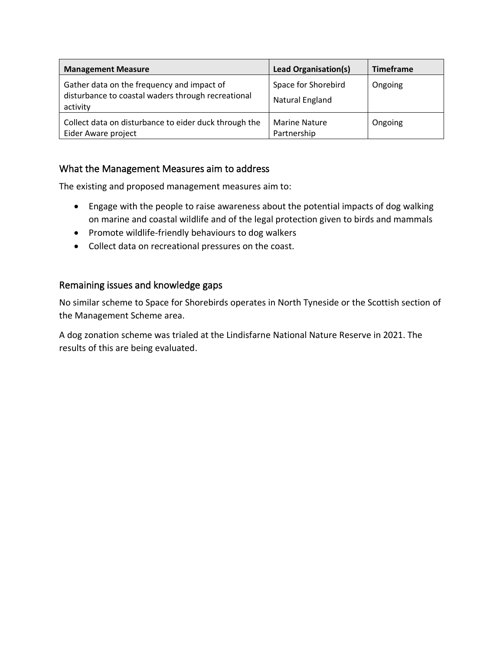| <b>Management Measure</b>                                                                                    | Lead Organisation(s)                   | <b>Timeframe</b> |
|--------------------------------------------------------------------------------------------------------------|----------------------------------------|------------------|
| Gather data on the frequency and impact of<br>disturbance to coastal waders through recreational<br>activity | Space for Shorebird<br>Natural England | Ongoing          |
| Collect data on disturbance to eider duck through the<br>Eider Aware project                                 | <b>Marine Nature</b><br>Partnership    | Ongoing          |

### What the Management Measures aim to address

The existing and proposed management measures aim to:

- Engage with the people to raise awareness about the potential impacts of dog walking on marine and coastal wildlife and of the legal protection given to birds and mammals
- Promote wildlife-friendly behaviours to dog walkers
- Collect data on recreational pressures on the coast.

### Remaining issues and knowledge gaps

No similar scheme to Space for Shorebirds operates in North Tyneside or the Scottish section of the Management Scheme area.

A dog zonation scheme was trialed at the Lindisfarne National Nature Reserve in 2021. The results of this are being evaluated.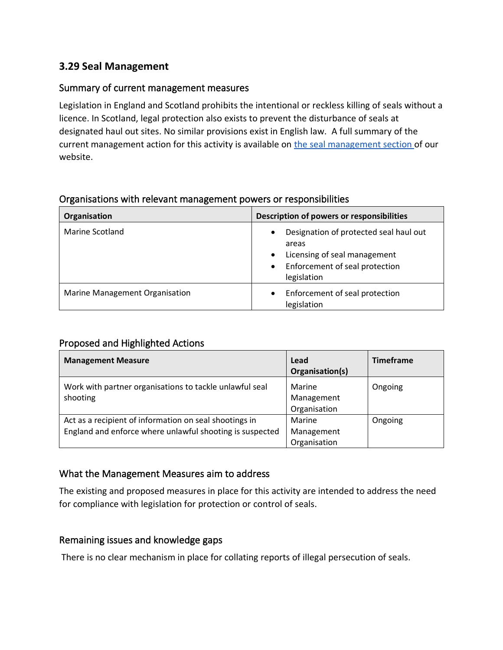### **3.29 Seal Management**

### Summary of current management measures

Legislation in England and Scotland prohibits the intentional or reckless killing of seals without a licence. In Scotland, legal protection also exists to prevent the disturbance of seals at designated haul out sites. No similar provisions exist in English law. A full summary of the current management action for this activity is available on [the seal management section o](https://www.xbordercurrents.co.uk/mpa-toolkit/mpas-in-our-area/seal-management/)f our website.

### Organisations with relevant management powers or responsibilities

| Organisation                          | Description of powers or responsibilities                                                                                                                               |
|---------------------------------------|-------------------------------------------------------------------------------------------------------------------------------------------------------------------------|
| Marine Scotland                       | Designation of protected seal haul out<br>$\bullet$<br>areas<br>Licensing of seal management<br>$\bullet$<br>Enforcement of seal protection<br>$\bullet$<br>legislation |
| <b>Marine Management Organisation</b> | Enforcement of seal protection<br>$\bullet$<br>legislation                                                                                                              |

### Proposed and Highlighted Actions

| <b>Management Measure</b>                                                                                          | Lead<br>Organisation(s)              | <b>Timeframe</b> |
|--------------------------------------------------------------------------------------------------------------------|--------------------------------------|------------------|
| Work with partner organisations to tackle unlawful seal<br>shooting                                                | Marine<br>Management<br>Organisation | Ongoing          |
| Act as a recipient of information on seal shootings in<br>England and enforce where unlawful shooting is suspected | Marine<br>Management<br>Organisation | Ongoing          |

### What the Management Measures aim to address

The existing and proposed measures in place for this activity are intended to address the need for compliance with legislation for protection or control of seals.

### Remaining issues and knowledge gaps

There is no clear mechanism in place for collating reports of illegal persecution of seals.